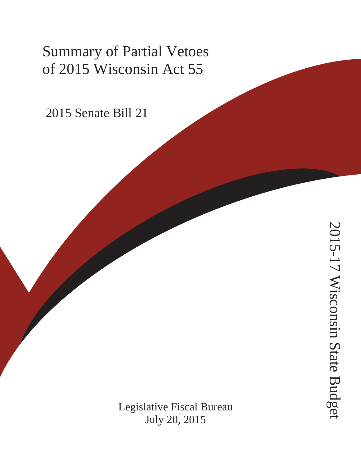# Summary of Partial Vetoes of 2015 Wisconsin Act 55

2015 Senate Bill 21

Legislative Fiscal Bureau July 20, 2015

2015-17 Wisconsin State Budget 2015-17 Wisconsin State Budget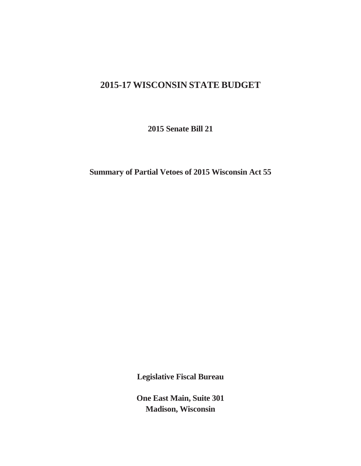## **2015-17 WISCONSIN STATE BUDGET**

**2015 Senate Bill 21** 

**Summary of Partial Vetoes of 2015 Wisconsin Act 55** 

**Legislative Fiscal Bureau** 

**One East Main, Suite 301 Madison, Wisconsin**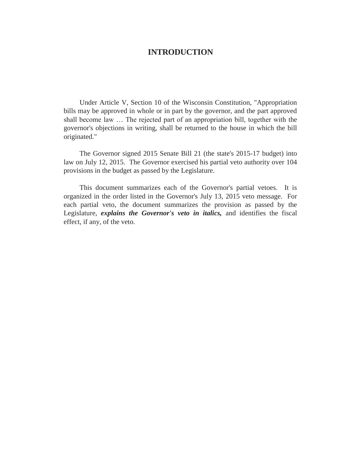#### **INTRODUCTION**

 Under Article V, Section 10 of the Wisconsin Constitution, "Appropriation bills may be approved in whole or in part by the governor, and the part approved shall become law … The rejected part of an appropriation bill, together with the governor's objections in writing, shall be returned to the house in which the bill originated."

 The Governor signed 2015 Senate Bill 21 (the state's 2015-17 budget) into law on July 12, 2015. The Governor exercised his partial veto authority over 104 provisions in the budget as passed by the Legislature.

 This document summarizes each of the Governor's partial vetoes. It is organized in the order listed in the Governor's July 13, 2015 veto message. For each partial veto, the document summarizes the provision as passed by the Legislature, *explains the Governor's veto in italics,* and identifies the fiscal effect, if any, of the veto.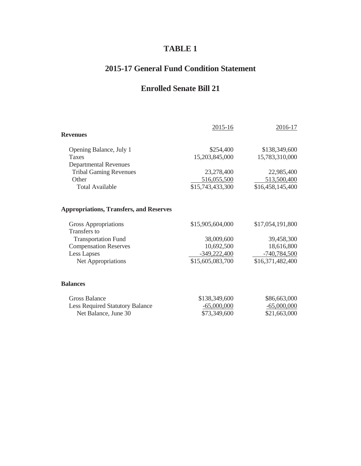## **TABLE 1**

## **2015-17 General Fund Condition Statement**

## **Enrolled Senate Bill 21**

| <b>Revenues</b>                                                | 2015-16                            | 2016-17                            |
|----------------------------------------------------------------|------------------------------------|------------------------------------|
| Opening Balance, July 1<br><b>Taxes</b>                        | \$254,400<br>15,203,845,000        | \$138,349,600<br>15,783,310,000    |
| <b>Departmental Revenues</b><br><b>Tribal Gaming Revenues</b>  | 23,278,400                         | 22,985,400                         |
| Other<br><b>Total Available</b>                                | 516,055,500<br>\$15,743,433,300    | 513,500,400<br>\$16,458,145,400    |
| <b>Appropriations, Transfers, and Reserves</b>                 |                                    |                                    |
| Gross Appropriations                                           | \$15,905,604,000                   | \$17,054,191,800                   |
| <b>Transfers</b> to                                            |                                    |                                    |
| <b>Transportation Fund</b>                                     | 38,009,600                         | 39,458,300                         |
| <b>Compensation Reserves</b>                                   | 10,692,500                         | 18,616,800                         |
| <b>Less Lapses</b><br>Net Appropriations                       | $-349,222,400$<br>\$15,605,083,700 | $-740,784,500$<br>\$16,371,482,400 |
| <b>Balances</b>                                                |                                    |                                    |
| <b>Gross Balance</b><br><b>Less Required Statutory Balance</b> | \$138,349,600<br>$-65,000,000$     | \$86,663,000<br>$-65,000,000$      |
| Net Balance, June 30                                           | \$73,349,600                       | \$21,663,000                       |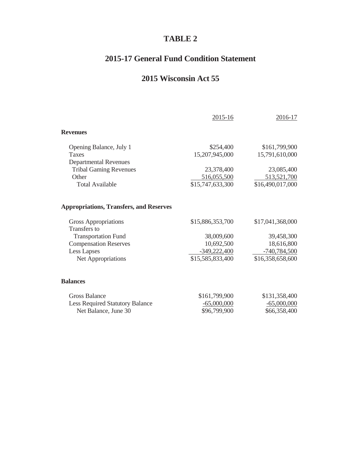## **TABLE 2**

## **2015-17 General Fund Condition Statement**

## **2015 Wisconsin Act 55**

|                                                | 2015-16          | 2016-17          |
|------------------------------------------------|------------------|------------------|
| <b>Revenues</b>                                |                  |                  |
| Opening Balance, July 1                        | \$254,400        | \$161,799,900    |
| <b>Taxes</b>                                   | 15,207,945,000   | 15,791,610,000   |
| <b>Departmental Revenues</b>                   |                  |                  |
| <b>Tribal Gaming Revenues</b>                  | 23,378,400       | 23,085,400       |
| Other                                          | 516,055,500      | 513,521,700      |
| <b>Total Available</b>                         | \$15,747,633,300 | \$16,490,017,000 |
| <b>Appropriations, Transfers, and Reserves</b> |                  |                  |
| Gross Appropriations                           | \$15,886,353,700 | \$17,041,368,000 |
| <b>Transfers</b> to                            |                  |                  |
| <b>Transportation Fund</b>                     | 38,009,600       | 39,458,300       |
| <b>Compensation Reserves</b>                   | 10,692,500       | 18,616,800       |
| <b>Less Lapses</b>                             | $-349,222,400$   | $-740,784,500$   |
| Net Appropriations                             | \$15,585,833,400 | \$16,358,658,600 |
| <b>Balances</b>                                |                  |                  |
| <b>Gross Balance</b>                           | \$161,799,900    | \$131,358,400    |
| <b>Less Required Statutory Balance</b>         | $-65,000,000$    | $-65,000,000$    |
| Net Balance, June 30                           | \$96,799,900     | \$66,358,400     |
|                                                |                  |                  |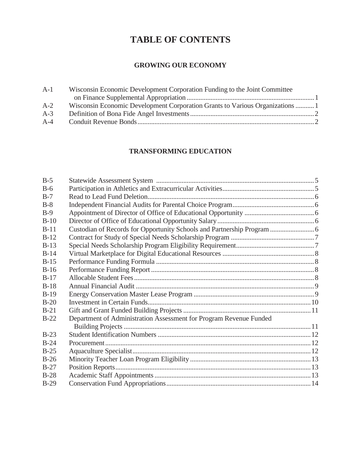## **TABLE OF CONTENTS**

## **GROWING OUR ECONOMY**

| $A-1$ | Wisconsin Economic Development Corporation Funding to the Joint Committee     |  |
|-------|-------------------------------------------------------------------------------|--|
|       |                                                                               |  |
| $A-2$ | Wisconsin Economic Development Corporation Grants to Various Organizations  1 |  |
| $A-3$ |                                                                               |  |
| $A-4$ |                                                                               |  |

## **TRANSFORMING EDUCATION**

| $B-5$  |                                                                    |  |
|--------|--------------------------------------------------------------------|--|
| $B-6$  |                                                                    |  |
| $B-7$  |                                                                    |  |
| $B-8$  |                                                                    |  |
| $B-9$  |                                                                    |  |
| $B-10$ |                                                                    |  |
| $B-11$ |                                                                    |  |
| $B-12$ |                                                                    |  |
| $B-13$ |                                                                    |  |
| $B-14$ |                                                                    |  |
| $B-15$ |                                                                    |  |
| $B-16$ |                                                                    |  |
| $B-17$ |                                                                    |  |
| $B-18$ |                                                                    |  |
| $B-19$ |                                                                    |  |
| $B-20$ |                                                                    |  |
| $B-21$ |                                                                    |  |
| $B-22$ | Department of Administration Assessment for Program Revenue Funded |  |
|        |                                                                    |  |
| $B-23$ |                                                                    |  |
| $B-24$ |                                                                    |  |
| $B-25$ |                                                                    |  |
| $B-26$ |                                                                    |  |
| $B-27$ |                                                                    |  |
| $B-28$ |                                                                    |  |
| $B-29$ |                                                                    |  |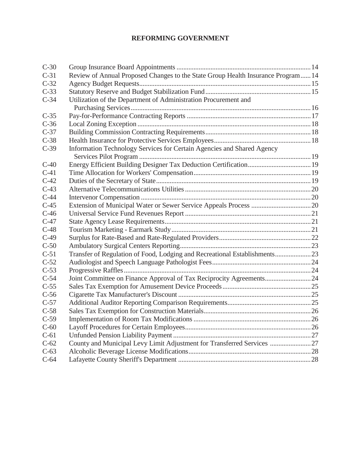## **REFORMING GOVERNMENT**

| $C-30$ |                                                                                  |  |
|--------|----------------------------------------------------------------------------------|--|
| $C-31$ | Review of Annual Proposed Changes to the State Group Health Insurance Program 14 |  |
| $C-32$ |                                                                                  |  |
| $C-33$ |                                                                                  |  |
| $C-34$ | Utilization of the Department of Administration Procurement and                  |  |
|        |                                                                                  |  |
| $C-35$ |                                                                                  |  |
| $C-36$ |                                                                                  |  |
| $C-37$ |                                                                                  |  |
| $C-38$ |                                                                                  |  |
| $C-39$ | Information Technology Services for Certain Agencies and Shared Agency           |  |
|        |                                                                                  |  |
| $C-40$ |                                                                                  |  |
| $C-41$ |                                                                                  |  |
| $C-42$ |                                                                                  |  |
| $C-43$ |                                                                                  |  |
| $C-44$ |                                                                                  |  |
| $C-45$ |                                                                                  |  |
| $C-46$ |                                                                                  |  |
| $C-47$ |                                                                                  |  |
| $C-48$ |                                                                                  |  |
| $C-49$ |                                                                                  |  |
| $C-50$ |                                                                                  |  |
| $C-51$ | Transfer of Regulation of Food, Lodging and Recreational Establishments 23       |  |
| $C-52$ |                                                                                  |  |
| $C-53$ |                                                                                  |  |
| $C-54$ | Joint Committee on Finance Approval of Tax Reciprocity Agreements24              |  |
| $C-55$ |                                                                                  |  |
| $C-56$ |                                                                                  |  |
| $C-57$ |                                                                                  |  |
| $C-58$ |                                                                                  |  |
| $C-59$ |                                                                                  |  |
| $C-60$ |                                                                                  |  |
| $C-61$ |                                                                                  |  |
| $C-62$ | County and Municipal Levy Limit Adjustment for Transferred Services  27          |  |
| $C-63$ |                                                                                  |  |
| $C-64$ |                                                                                  |  |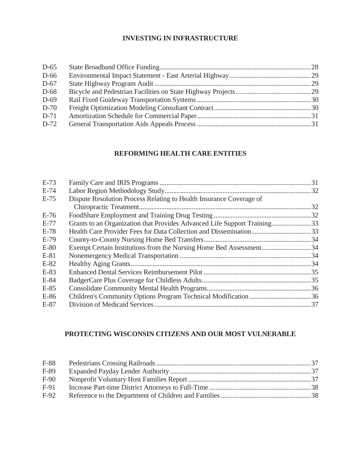## **INVESTING IN INFRASTRUCTURE**

| $D-65$ |  |
|--------|--|
| $D-66$ |  |
| $D-67$ |  |
| D-68   |  |
| $D-69$ |  |
| $D-70$ |  |
| $D-71$ |  |
| $D-72$ |  |

## **REFORMING HEALTH CARE ENTITIES**

| $E-73$ |                                                                          |  |
|--------|--------------------------------------------------------------------------|--|
| $E-74$ |                                                                          |  |
| $E-75$ | Dispute Resolution Process Relating to Health Insurance Coverage of      |  |
|        |                                                                          |  |
| $E-76$ |                                                                          |  |
| $E-77$ | Grants to an Organization that Provides Advanced Life Support Training33 |  |
| $E-78$ |                                                                          |  |
| $E-79$ |                                                                          |  |
| $E-80$ | Exempt Certain Institutions from the Nursing Home Bed Assessment34       |  |
| $E-81$ |                                                                          |  |
| $E-82$ |                                                                          |  |
| $E-83$ |                                                                          |  |
| $E-84$ |                                                                          |  |
| $E-85$ |                                                                          |  |
| $E-86$ |                                                                          |  |
| $E-87$ |                                                                          |  |

## **PROTECTING WISCONSIN CITIZENS AND OUR MOST VULNERABLE**

| $F-88$ |  |
|--------|--|
| F-89   |  |
| $F-90$ |  |
| $F-91$ |  |
| $F-92$ |  |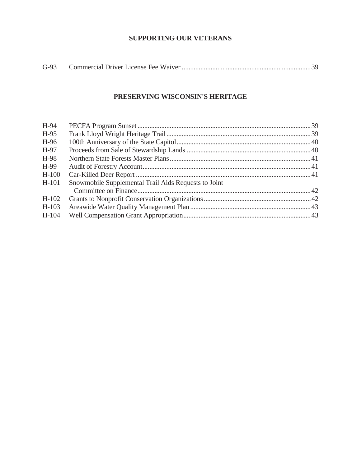## **SUPPORTING OUR VETERANS**

| $G-93$ |  |  |
|--------|--|--|
|--------|--|--|

## **PRESERVING WISCONSIN'S HERITAGE**

| H-94    |                                                      |  |
|---------|------------------------------------------------------|--|
| $H-95$  |                                                      |  |
| H-96    |                                                      |  |
| H-97    |                                                      |  |
| H-98    |                                                      |  |
| H-99    |                                                      |  |
| $H-100$ |                                                      |  |
| $H-101$ | Snowmobile Supplemental Trail Aids Requests to Joint |  |
|         |                                                      |  |
| $H-102$ |                                                      |  |
| $H-103$ |                                                      |  |
| $H-104$ |                                                      |  |
|         |                                                      |  |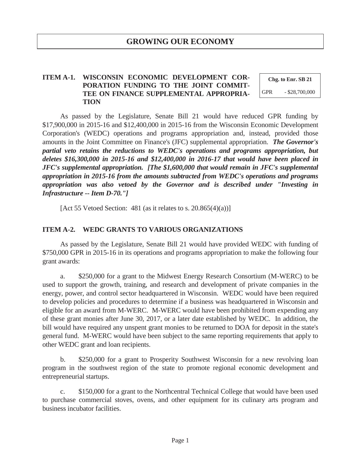#### **ITEM A-1. WISCONSIN ECONOMIC DEVELOPMENT COR-PORATION FUNDING TO THE JOINT COMMIT-TEE ON FINANCE SUPPLEMENTAL APPROPRIA-TION**

**Chg. to Enr. SB 21**  GPR - \$28,700,000

 As passed by the Legislature, Senate Bill 21 would have reduced GPR funding by \$17,900,000 in 2015-16 and \$12,400,000 in 2015-16 from the Wisconsin Economic Development Corporation's (WEDC) operations and programs appropriation and, instead, provided those amounts in the Joint Committee on Finance's (JFC) supplemental appropriation. *The Governor's partial veto retains the reductions to WEDC's operations and programs appropriation, but deletes \$16,300,000 in 2015-16 and \$12,400,000 in 2016-17 that would have been placed in JFC's supplemental appropriation. [The \$1,600,000 that would remain in JFC's supplemental appropriation in 2015-16 from the amounts subtracted from WEDC's operations and programs appropriation was also vetoed by the Governor and is described under "Investing in Infrastructure -- Item D-70."]* 

[Act 55 Vetoed Section: 481 (as it relates to s.  $20.865(4)(a)$ ]]

#### **ITEM A-2. WEDC GRANTS TO VARIOUS ORGANIZATIONS**

 As passed by the Legislature, Senate Bill 21 would have provided WEDC with funding of \$750,000 GPR in 2015-16 in its operations and programs appropriation to make the following four grant awards:

 a. \$250,000 for a grant to the Midwest Energy Research Consortium (M-WERC) to be used to support the growth, training, and research and development of private companies in the energy, power, and control sector headquartered in Wisconsin. WEDC would have been required to develop policies and procedures to determine if a business was headquartered in Wisconsin and eligible for an award from M-WERC. M-WERC would have been prohibited from expending any of these grant monies after June 30, 2017, or a later date established by WEDC. In addition, the bill would have required any unspent grant monies to be returned to DOA for deposit in the state's general fund. M-WERC would have been subject to the same reporting requirements that apply to other WEDC grant and loan recipients.

 b. \$250,000 for a grant to Prosperity Southwest Wisconsin for a new revolving loan program in the southwest region of the state to promote regional economic development and entrepreneurial startups.

 c. \$150,000 for a grant to the Northcentral Technical College that would have been used to purchase commercial stoves, ovens, and other equipment for its culinary arts program and business incubator facilities.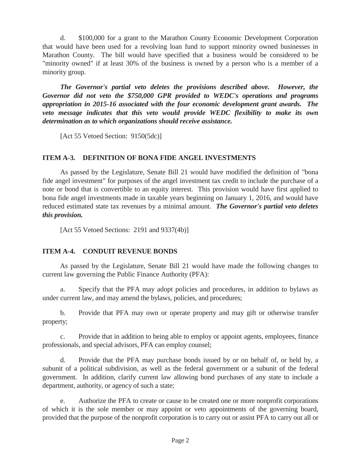d. \$100,000 for a grant to the Marathon County Economic Development Corporation that would have been used for a revolving loan fund to support minority owned businesses in Marathon County. The bill would have specified that a business would be considered to be "minority owned" if at least 30% of the business is owned by a person who is a member of a minority group.

 *The Governor's partial veto deletes the provisions described above. However, the Governor did not veto the \$750,000 GPR provided to WEDC's operations and programs appropriation in 2015-16 associated with the four economic development grant awards. The veto message indicates that this veto would provide WEDC flexibility to make its own determination as to which organizations should receive assistance.* 

[Act 55 Vetoed Section: 9150(5dc)]

#### **ITEM A-3. DEFINITION OF BONA FIDE ANGEL INVESTMENTS**

 As passed by the Legislature, Senate Bill 21 would have modified the definition of "bona fide angel investment" for purposes of the angel investment tax credit to include the purchase of a note or bond that is convertible to an equity interest. This provision would have first applied to bona fide angel investments made in taxable years beginning on January 1, 2016, and would have reduced estimated state tax revenues by a minimal amount. *The Governor's partial veto deletes this provision.* 

[Act 55 Vetoed Sections: 2191 and 9337(4b)]

#### **ITEM A-4. CONDUIT REVENUE BONDS**

 As passed by the Legislature, Senate Bill 21 would have made the following changes to current law governing the Public Finance Authority (PFA):

 a. Specify that the PFA may adopt policies and procedures, in addition to bylaws as under current law, and may amend the bylaws, policies, and procedures;

 b. Provide that PFA may own or operate property and may gift or otherwise transfer property;

 c. Provide that in addition to being able to employ or appoint agents, employees, finance professionals, and special advisors, PFA can employ counsel;

 d. Provide that the PFA may purchase bonds issued by or on behalf of, or held by, a subunit of a political subdivision, as well as the federal government or a subunit of the federal government. In addition, clarify current law allowing bond purchases of any state to include a department, authority, or agency of such a state;

 e. Authorize the PFA to create or cause to be created one or more nonprofit corporations of which it is the sole member or may appoint or veto appointments of the governing board, provided that the purpose of the nonprofit corporation is to carry out or assist PFA to carry out all or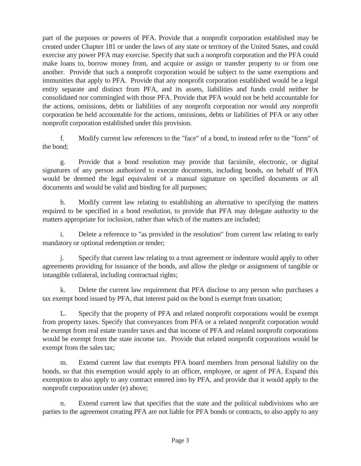part of the purposes or powers of PFA. Provide that a nonprofit corporation established may be created under Chapter 181 or under the laws of any state or territory of the United States, and could exercise any power PFA may exercise. Specify that such a nonprofit corporation and the PFA could make loans to, borrow money from, and acquire or assign or transfer property to or from one another. Provide that such a nonprofit corporation would be subject to the same exemptions and immunities that apply to PFA. Provide that any nonprofit corporation established would be a legal entity separate and distinct from PFA, and its assets, liabilities and funds could neither be consolidated nor commingled with those PFA. Provide that PFA would not be held accountable for the actions, omissions, debts or liabilities of any nonprofit corporation nor would any nonprofit corporation be held accountable for the actions, omissions, debts or liabilities of PFA or any other nonprofit corporation established under this provision.

 f. Modify current law references to the "face" of a bond, to instead refer to the "form" of the bond;

 g. Provide that a bond resolution may provide that facsimile, electronic, or digital signatures of any person authorized to execute documents, including bonds, on behalf of PFA would be deemed the legal equivalent of a manual signature on specified documents or all documents and would be valid and binding for all purposes;

 h. Modify current law relating to establishing an alternative to specifying the matters required to be specified in a bond resolution, to provide that PFA may delegate authority to the matters appropriate for inclusion, rather than which of the matters are included;

 i. Delete a reference to "as provided in the resolution" from current law relating to early mandatory or optional redemption or tender;

 j. Specify that current law relating to a trust agreement or indenture would apply to other agreements providing for issuance of the bonds, and allow the pledge or assignment of tangible or intangible collateral, including contractual rights;

 k. Delete the current law requirement that PFA disclose to any person who purchases a tax exempt bond issued by PFA, that interest paid on the bond is exempt from taxation;

 L. Specify that the property of PFA and related nonprofit corporations would be exempt from property taxes. Specify that conveyances from PFA or a related nonprofit corporation would be exempt from real estate transfer taxes and that income of PFA and related nonprofit corporations would be exempt from the state income tax. Provide that related nonprofit corporations would be exempt from the sales tax;

 m. Extend current law that exempts PFA board members from personal liability on the bonds, so that this exemption would apply to an officer, employee, or agent of PFA. Expand this exemption to also apply to any contract entered into by PFA, and provide that it would apply to the nonprofit corporation under (e) above;

 n. Extend current law that specifies that the state and the political subdivisions who are parties to the agreement creating PFA are not liable for PFA bonds or contracts, to also apply to any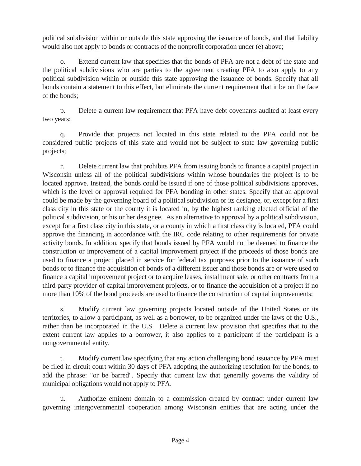political subdivision within or outside this state approving the issuance of bonds, and that liability would also not apply to bonds or contracts of the nonprofit corporation under (e) above;

 o. Extend current law that specifies that the bonds of PFA are not a debt of the state and the political subdivisions who are parties to the agreement creating PFA to also apply to any political subdivision within or outside this state approving the issuance of bonds. Specify that all bonds contain a statement to this effect, but eliminate the current requirement that it be on the face of the bonds;

 p. Delete a current law requirement that PFA have debt covenants audited at least every two years;

 q. Provide that projects not located in this state related to the PFA could not be considered public projects of this state and would not be subject to state law governing public projects;

 r. Delete current law that prohibits PFA from issuing bonds to finance a capital project in Wisconsin unless all of the political subdivisions within whose boundaries the project is to be located approve. Instead, the bonds could be issued if one of those political subdivisions approves, which is the level or approval required for PFA bonding in other states. Specify that an approval could be made by the governing board of a political subdivision or its designee, or, except for a first class city in this state or the county it is located in, by the highest ranking elected official of the political subdivision, or his or her designee. As an alternative to approval by a political subdivision, except for a first class city in this state, or a county in which a first class city is located, PFA could approve the financing in accordance with the IRC code relating to other requirements for private activity bonds. In addition, specify that bonds issued by PFA would not be deemed to finance the construction or improvement of a capital improvement project if the proceeds of those bonds are used to finance a project placed in service for federal tax purposes prior to the issuance of such bonds or to finance the acquisition of bonds of a different issuer and those bonds are or were used to finance a capital improvement project or to acquire leases, installment sale, or other contracts from a third party provider of capital improvement projects, or to finance the acquisition of a project if no more than 10% of the bond proceeds are used to finance the construction of capital improvements;

 s. Modify current law governing projects located outside of the United States or its territories, to allow a participant, as well as a borrower, to be organized under the laws of the U.S., rather than be incorporated in the U.S. Delete a current law provision that specifies that to the extent current law applies to a borrower, it also applies to a participant if the participant is a nongovernmental entity.

 t. Modify current law specifying that any action challenging bond issuance by PFA must be filed in circuit court within 30 days of PFA adopting the authorizing resolution for the bonds, to add the phrase: "or be barred". Specify that current law that generally governs the validity of municipal obligations would not apply to PFA.

 u. Authorize eminent domain to a commission created by contract under current law governing intergovernmental cooperation among Wisconsin entities that are acting under the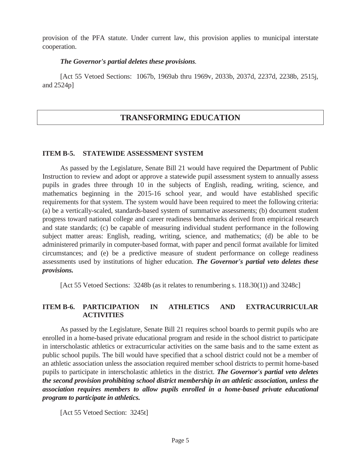provision of the PFA statute. Under current law, this provision applies to municipal interstate cooperation.

#### *The Governor's partial deletes these provisions.*

 [Act 55 Vetoed Sections: 1067b, 1969ab thru 1969v, 2033b, 2037d, 2237d, 2238b, 2515j, and 2524p]

## **TRANSFORMING EDUCATION**

#### **ITEM B-5. STATEWIDE ASSESSMENT SYSTEM**

 As passed by the Legislature, Senate Bill 21 would have required the Department of Public Instruction to review and adopt or approve a statewide pupil assessment system to annually assess pupils in grades three through 10 in the subjects of English, reading, writing, science, and mathematics beginning in the 2015-16 school year, and would have established specific requirements for that system. The system would have been required to meet the following criteria: (a) be a vertically-scaled, standards-based system of summative assessments; (b) document student progress toward national college and career readiness benchmarks derived from empirical research and state standards; (c) be capable of measuring individual student performance in the following subject matter areas: English, reading, writing, science, and mathematics; (d) be able to be administered primarily in computer-based format, with paper and pencil format available for limited circumstances; and (e) be a predictive measure of student performance on college readiness assessments used by institutions of higher education. *The Governor's partial veto deletes these provisions.*

[Act 55 Vetoed Sections: 3248b (as it relates to renumbering s. 118.30(1)) and 3248c]

#### **ITEM B-6. PARTICIPATION IN ATHLETICS AND EXTRACURRICULAR ACTIVITIES**

As passed by the Legislature, Senate Bill 21 requires school boards to permit pupils who are enrolled in a home-based private educational program and reside in the school district to participate in interscholastic athletics or extracurricular activities on the same basis and to the same extent as public school pupils. The bill would have specified that a school district could not be a member of an athletic association unless the association required member school districts to permit home-based pupils to participate in interscholastic athletics in the district. *The Governor's partial veto deletes the second provision prohibiting school district membership in an athletic association, unless the association requires members to allow pupils enrolled in a home-based private educational program to participate in athletics.* 

[Act 55 Vetoed Section: 3245t]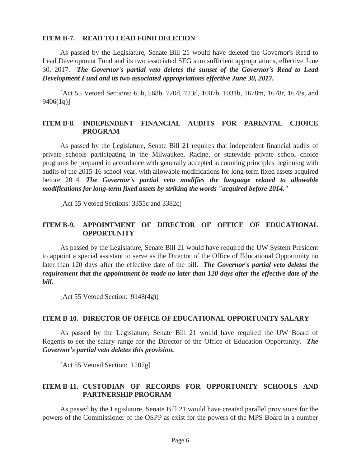#### **ITEM B-7. READ TO LEAD FUND DELETION**

 As passed by the Legislature, Senate Bill 21 would have deleted the Governor's Read to Lead Development Fund and its two associated SEG sum sufficient appropriations, effective June 30, 2017. *The Governor's partial veto deletes the sunset of the Governor's Read to Lead Development Fund and its two associated appropriations effective June 30, 2017.* 

 [Act 55 Vetoed Sections: 65b, 568b, 720d, 723d, 1007b, 1031b, 1678m, 1678r, 1678s, and 9406(1q)]

#### **ITEM B-8. INDEPENDENT FINANCIAL AUDITS FOR PARENTAL CHOICE PROGRAM**

 As passed by the Legislature, Senate Bill 21 requires that independent financial audits of private schools participating in the Milwaukee, Racine, or statewide private school choice programs be prepared in accordance with generally accepted accounting principles beginning with audits of the 2015-16 school year, with allowable modifications for long-term fixed assets acquired before 2014. *The Governor's partial veto modifies the language related to allowable modifications for long-term fixed assets by striking the words "acquired before 2014."* 

[Act 55 Vetoed Sections: 3355c and 3382c]

#### **ITEM B-9. APPOINTMENT OF DIRECTOR OF OFFICE OF EDUCATIONAL OPPORTUNITY**

 As passed by the Legislature, Senate Bill 21 would have required the UW System President to appoint a special assistant to serve as the Director of the Office of Educational Opportunity no later than 120 days after the effective date of the bill. *The Governor's partial veto deletes the requirement that the appointment be made no later than 120 days after the effective date of the bill*.

[Act 55 Vetoed Section: 9148(4g)]

#### **ITEM B-10. DIRECTOR OF OFFICE OF EDUCATIONAL OPPORTUNITY SALARY**

 As passed by the Legislature, Senate Bill 21 would have required the UW Board of Regents to set the salary range for the Director of the Office of Education Opportunity. *The Governor's partial veto deletes this provision.*

[Act 55 Vetoed Section: 1207g]

#### **ITEM B-11. CUSTODIAN OF RECORDS FOR OPPORTUNITY SCHOOLS AND PARTNERSHIP PROGRAM**

 As passed by the Legislature, Senate Bill 21 would have created parallel provisions for the powers of the Commissioner of the OSPP as exist for the powers of the MPS Board in a number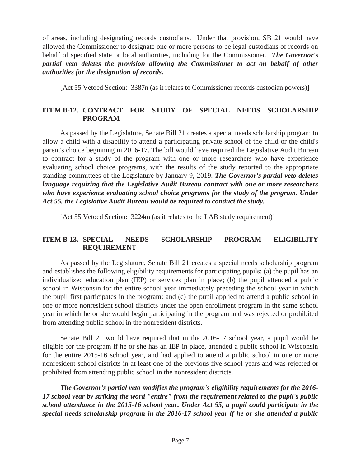of areas, including designating records custodians. Under that provision, SB 21 would have allowed the Commissioner to designate one or more persons to be legal custodians of records on behalf of specified state or local authorities, including for the Commissioner. *The Governor's partial veto deletes the provision allowing the Commissioner to act on behalf of other authorities for the designation of records.*

[Act 55 Vetoed Section: 3387n (as it relates to Commissioner records custodian powers)]

## **ITEM B-12. CONTRACT FOR STUDY OF SPECIAL NEEDS SCHOLARSHIP PROGRAM**

 As passed by the Legislature, Senate Bill 21 creates a special needs scholarship program to allow a child with a disability to attend a participating private school of the child or the child's parent's choice beginning in 2016-17. The bill would have required the Legislative Audit Bureau to contract for a study of the program with one or more researchers who have experience evaluating school choice programs, with the results of the study reported to the appropriate standing committees of the Legislature by January 9, 2019. *The Governor's partial veto deletes language requiring that the Legislative Audit Bureau contract with one or more researchers*  who have experience evaluating school choice programs for the study of the program. Under *Act 55, the Legislative Audit Bureau would be required to conduct the study.*

[Act 55 Vetoed Section: 3224m (as it relates to the LAB study requirement)]

## **ITEM B-13. SPECIAL NEEDS SCHOLARSHIP PROGRAM ELIGIBILITY REQUIREMENT**

 As passed by the Legislature, Senate Bill 21 creates a special needs scholarship program and establishes the following eligibility requirements for participating pupils: (a) the pupil has an individualized education plan (IEP) or services plan in place; (b) the pupil attended a public school in Wisconsin for the entire school year immediately preceding the school year in which the pupil first participates in the program; and (c) the pupil applied to attend a public school in one or more nonresident school districts under the open enrollment program in the same school year in which he or she would begin participating in the program and was rejected or prohibited from attending public school in the nonresident districts.

 Senate Bill 21 would have required that in the 2016-17 school year, a pupil would be eligible for the program if he or she has an IEP in place, attended a public school in Wisconsin for the entire 2015-16 school year, and had applied to attend a public school in one or more nonresident school districts in at least one of the previous five school years and was rejected or prohibited from attending public school in the nonresident districts.

 *The Governor's partial veto modifies the program's eligibility requirements for the 2016- 17 school year by striking the word "entire" from the requirement related to the pupil's public school attendance in the 2015-16 school year. Under Act 55, a pupil could participate in the special needs scholarship program in the 2016-17 school year if he or she attended a public*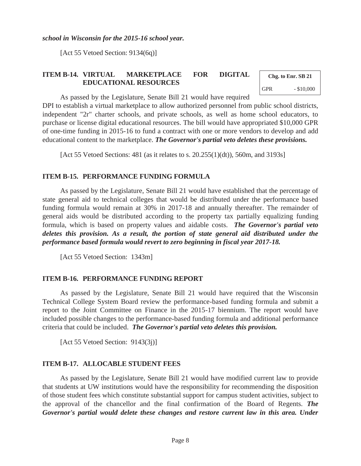*school in Wisconsin for the 2015-16 school year.*

[Act 55 Vetoed Section: 9134(6q)]

#### **ITEM B-14. VIRTUAL MARKETPLACE FOR DIGITAL EDUCATIONAL RESOURCES**

**Chg. to Enr. SB 21**  GPR  $- $10,000$ 

As passed by the Legislature, Senate Bill 21 would have required

DPI to establish a virtual marketplace to allow authorized personnel from public school districts, independent "2r" charter schools, and private schools, as well as home school educators, to purchase or license digital educational resources. The bill would have appropriated \$10,000 GPR of one-time funding in 2015-16 to fund a contract with one or more vendors to develop and add educational content to the marketplace. *The Governor's partial veto deletes these provisions.*

[Act 55 Vetoed Sections: 481 (as it relates to s. 20.255(1)(dt)), 560m, and 3193s]

#### **ITEM B-15. PERFORMANCE FUNDING FORMULA**

 As passed by the Legislature, Senate Bill 21 would have established that the percentage of state general aid to technical colleges that would be distributed under the performance based funding formula would remain at 30% in 2017-18 and annually thereafter. The remainder of general aids would be distributed according to the property tax partially equalizing funding formula, which is based on property values and aidable costs. *The Governor's partial veto deletes this provision. As a result, the portion of state general aid distributed under the performance based formula would revert to zero beginning in fiscal year 2017-18.*

[Act 55 Vetoed Section: 1343m]

#### **ITEM B-16. PERFORMANCE FUNDING REPORT**

 As passed by the Legislature, Senate Bill 21 would have required that the Wisconsin Technical College System Board review the performance-based funding formula and submit a report to the Joint Committee on Finance in the 2015-17 biennium. The report would have included possible changes to the performance-based funding formula and additional performance criteria that could be included. *The Governor's partial veto deletes this provision.*

[Act 55 Vetoed Section: 9143(3j)]

#### **ITEM B-17. ALLOCABLE STUDENT FEES**

 As passed by the Legislature, Senate Bill 21 would have modified current law to provide that students at UW institutions would have the responsibility for recommending the disposition of those student fees which constitute substantial support for campus student activities, subject to the approval of the chancellor and the final confirmation of the Board of Regents. *The Governor's partial would delete these changes and restore current law in this area. Under*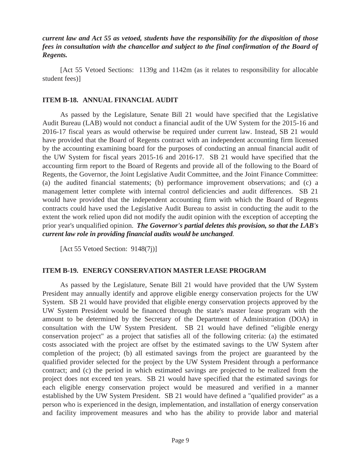*current law and Act 55 as vetoed, students have the responsibility for the disposition of those fees in consultation with the chancellor and subject to the final confirmation of the Board of Regents.* 

 [Act 55 Vetoed Sections: 1139g and 1142m (as it relates to responsibility for allocable student fees)]

#### **ITEM B-18. ANNUAL FINANCIAL AUDIT**

 As passed by the Legislature, Senate Bill 21 would have specified that the Legislative Audit Bureau (LAB) would not conduct a financial audit of the UW System for the 2015-16 and 2016-17 fiscal years as would otherwise be required under current law. Instead, SB 21 would have provided that the Board of Regents contract with an independent accounting firm licensed by the accounting examining board for the purposes of conducting an annual financial audit of the UW System for fiscal years 2015-16 and 2016-17. SB 21 would have specified that the accounting firm report to the Board of Regents and provide all of the following to the Board of Regents, the Governor, the Joint Legislative Audit Committee, and the Joint Finance Committee: (a) the audited financial statements; (b) performance improvement observations; and (c) a management letter complete with internal control deficiencies and audit differences. SB 21 would have provided that the independent accounting firm with which the Board of Regents contracts could have used the Legislative Audit Bureau to assist in conducting the audit to the extent the work relied upon did not modify the audit opinion with the exception of accepting the prior year's unqualified opinion. *The Governor's partial deletes this provision, so that the LAB's current law role in providing financial audits would be unchanged.* 

[Act 55 Vetoed Section: 9148(7j)]

#### **ITEM B-19. ENERGY CONSERVATION MASTER LEASE PROGRAM**

 As passed by the Legislature, Senate Bill 21 would have provided that the UW System President may annually identify and approve eligible energy conservation projects for the UW System. SB 21 would have provided that eligible energy conservation projects approved by the UW System President would be financed through the state's master lease program with the amount to be determined by the Secretary of the Department of Administration (DOA) in consultation with the UW System President. SB 21 would have defined "eligible energy conservation project" as a project that satisfies all of the following criteria: (a) the estimated costs associated with the project are offset by the estimated savings to the UW System after completion of the project; (b) all estimated savings from the project are guaranteed by the qualified provider selected for the project by the UW System President through a performance contract; and (c) the period in which estimated savings are projected to be realized from the project does not exceed ten years. SB 21 would have specified that the estimated savings for each eligible energy conservation project would be measured and verified in a manner established by the UW System President. SB 21 would have defined a "qualified provider" as a person who is experienced in the design, implementation, and installation of energy conservation and facility improvement measures and who has the ability to provide labor and material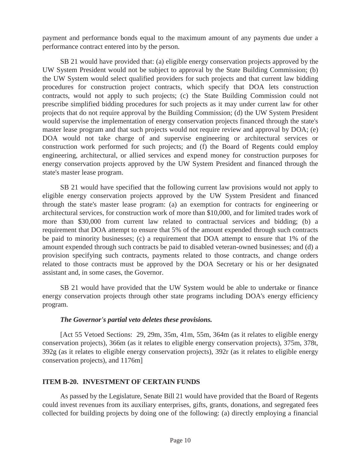payment and performance bonds equal to the maximum amount of any payments due under a performance contract entered into by the person.

 SB 21 would have provided that: (a) eligible energy conservation projects approved by the UW System President would not be subject to approval by the State Building Commission; (b) the UW System would select qualified providers for such projects and that current law bidding procedures for construction project contracts, which specify that DOA lets construction contracts, would not apply to such projects; (c) the State Building Commission could not prescribe simplified bidding procedures for such projects as it may under current law for other projects that do not require approval by the Building Commission; (d) the UW System President would supervise the implementation of energy conservation projects financed through the state's master lease program and that such projects would not require review and approval by DOA; (e) DOA would not take charge of and supervise engineering or architectural services or construction work performed for such projects; and (f) the Board of Regents could employ engineering, architectural, or allied services and expend money for construction purposes for energy conservation projects approved by the UW System President and financed through the state's master lease program.

 SB 21 would have specified that the following current law provisions would not apply to eligible energy conservation projects approved by the UW System President and financed through the state's master lease program: (a) an exemption for contracts for engineering or architectural services, for construction work of more than \$10,000, and for limited trades work of more than \$30,000 from current law related to contractual services and bidding; (b) a requirement that DOA attempt to ensure that 5% of the amount expended through such contracts be paid to minority businesses; (c) a requirement that DOA attempt to ensure that 1% of the amount expended through such contracts be paid to disabled veteran-owned businesses; and (d) a provision specifying such contracts, payments related to those contracts, and change orders related to those contracts must be approved by the DOA Secretary or his or her designated assistant and, in some cases, the Governor.

 SB 21 would have provided that the UW System would be able to undertake or finance energy conservation projects through other state programs including DOA's energy efficiency program.

#### *The Governor's partial veto deletes these provisions.*

 [Act 55 Vetoed Sections: 29, 29m, 35m, 41m, 55m, 364m (as it relates to eligible energy conservation projects), 366m (as it relates to eligible energy conservation projects), 375m, 378t, 392g (as it relates to eligible energy conservation projects), 392r (as it relates to eligible energy conservation projects), and 1176m]

#### **ITEM B-20. INVESTMENT OF CERTAIN FUNDS**

 As passed by the Legislature, Senate Bill 21 would have provided that the Board of Regents could invest revenues from its auxiliary enterprises, gifts, grants, donations, and segregated fees collected for building projects by doing one of the following: (a) directly employing a financial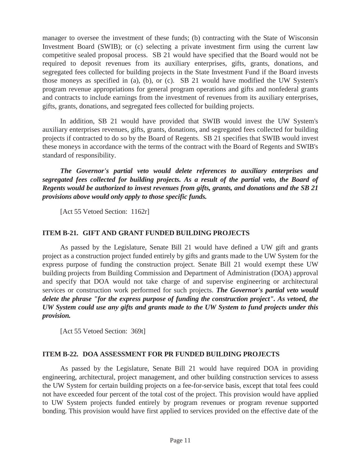manager to oversee the investment of these funds; (b) contracting with the State of Wisconsin Investment Board (SWIB); or (c) selecting a private investment firm using the current law competitive sealed proposal process. SB 21 would have specified that the Board would not be required to deposit revenues from its auxiliary enterprises, gifts, grants, donations, and segregated fees collected for building projects in the State Investment Fund if the Board invests those moneys as specified in (a), (b), or (c). SB 21 would have modified the UW System's program revenue appropriations for general program operations and gifts and nonfederal grants and contracts to include earnings from the investment of revenues from its auxiliary enterprises, gifts, grants, donations, and segregated fees collected for building projects.

 In addition, SB 21 would have provided that SWIB would invest the UW System's auxiliary enterprises revenues, gifts, grants, donations, and segregated fees collected for building projects if contracted to do so by the Board of Regents. SB 21 specifies that SWIB would invest these moneys in accordance with the terms of the contract with the Board of Regents and SWIB's standard of responsibility.

*The Governor's partial veto would delete references to auxiliary enterprises and segregated fees collected for building projects. As a result of the partial veto, the Board of Regents would be authorized to invest revenues from gifts, grants, and donations and the SB 21 provisions above would only apply to those specific funds.*

[Act 55 Vetoed Section: 1162r]

## **ITEM B-21. GIFT AND GRANT FUNDED BUILDING PROJECTS**

 As passed by the Legislature, Senate Bill 21 would have defined a UW gift and grants project as a construction project funded entirely by gifts and grants made to the UW System for the express purpose of funding the construction project. Senate Bill 21 would exempt these UW building projects from Building Commission and Department of Administration (DOA) approval and specify that DOA would not take charge of and supervise engineering or architectural services or construction work performed for such projects. *The Governor's partial veto would delete the phrase "for the express purpose of funding the construction project". As vetoed, the UW System could use any gifts and grants made to the UW System to fund projects under this provision.*

[Act 55 Vetoed Section: 369t]

#### **ITEM B-22. DOA ASSESSMENT FOR PR FUNDED BUILDING PROJECTS**

 As passed by the Legislature, Senate Bill 21 would have required DOA in providing engineering, architectural, project management, and other building construction services to assess the UW System for certain building projects on a fee-for-service basis, except that total fees could not have exceeded four percent of the total cost of the project. This provision would have applied to UW System projects funded entirely by program revenues or program revenue supported bonding. This provision would have first applied to services provided on the effective date of the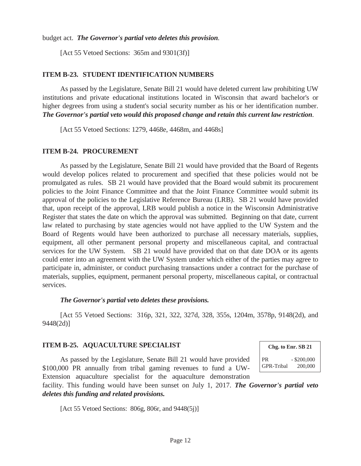budget act. *The Governor's partial veto deletes this provision.* 

[Act 55 Vetoed Sections: 365m and 9301(3f)]

#### **ITEM B-23. STUDENT IDENTIFICATION NUMBERS**

 As passed by the Legislature, Senate Bill 21 would have deleted current law prohibiting UW institutions and private educational institutions located in Wisconsin that award bachelor's or higher degrees from using a student's social security number as his or her identification number. *The Governor's partial veto would this proposed change and retain this current law restriction.* 

[Act 55 Vetoed Sections: 1279, 4468e, 4468m, and 4468s]

#### **ITEM B-24. PROCUREMENT**

 As passed by the Legislature, Senate Bill 21 would have provided that the Board of Regents would develop polices related to procurement and specified that these policies would not be promulgated as rules. SB 21 would have provided that the Board would submit its procurement policies to the Joint Finance Committee and that the Joint Finance Committee would submit its approval of the policies to the Legislative Reference Bureau (LRB). SB 21 would have provided that, upon receipt of the approval, LRB would publish a notice in the Wisconsin Administrative Register that states the date on which the approval was submitted. Beginning on that date, current law related to purchasing by state agencies would not have applied to the UW System and the Board of Regents would have been authorized to purchase all necessary materials, supplies, equipment, all other permanent personal property and miscellaneous capital, and contractual services for the UW System. SB 21 would have provided that on that date DOA or its agents could enter into an agreement with the UW System under which either of the parties may agree to participate in, administer, or conduct purchasing transactions under a contract for the purchase of materials, supplies, equipment, permanent personal property, miscellaneous capital, or contractual services.

#### *The Governor's partial veto deletes these provisions.*

 [Act 55 Vetoed Sections: 316p, 321, 322, 327d, 328, 355s, 1204m, 3578p, 9148(2d), and 9448(2d)]

#### **ITEM B-25. AQUACULTURE SPECIALIST**

 As passed by the Legislature, Senate Bill 21 would have provided \$100,000 PR annually from tribal gaming revenues to fund a UW-Extension aquaculture specialist for the aquaculture demonstration

**Chg. to Enr. SB 21**  PR - \$200,000 GPR-Tribal 200,000

facility. This funding would have been sunset on July 1, 2017. *The Governor's partial veto deletes this funding and related provisions.*

[Act 55 Vetoed Sections: 806g, 806r, and 9448(5j)]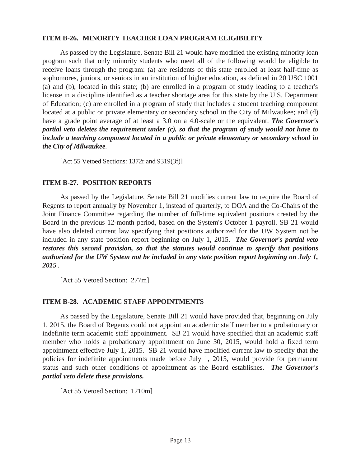#### **ITEM B-26. MINORITY TEACHER LOAN PROGRAM ELIGIBILITY**

 As passed by the Legislature, Senate Bill 21 would have modified the existing minority loan program such that only minority students who meet all of the following would be eligible to receive loans through the program: (a) are residents of this state enrolled at least half-time as sophomores, juniors, or seniors in an institution of higher education, as defined in 20 USC 1001 (a) and (b), located in this state; (b) are enrolled in a program of study leading to a teacher's license in a discipline identified as a teacher shortage area for this state by the U.S. Department of Education; (c) are enrolled in a program of study that includes a student teaching component located at a public or private elementary or secondary school in the City of Milwaukee; and (d) have a grade point average of at least a 3.0 on a 4.0-scale or the equivalent. *The Governor's partial veto deletes the requirement under (c), so that the program of study would not have to include a teaching component located in a public or private elementary or secondary school in the City of Milwaukee.* 

[Act 55 Vetoed Sections: 1372r and 9319(3f)]

#### **ITEM B-27. POSITION REPORTS**

 As passed by the Legislature, Senate Bill 21 modifies current law to require the Board of Regents to report annually by November 1, instead of quarterly, to DOA and the Co-Chairs of the Joint Finance Committee regarding the number of full-time equivalent positions created by the Board in the previous 12-month period, based on the System's October 1 payroll. SB 21 would have also deleted current law specifying that positions authorized for the UW System not be included in any state position report beginning on July 1, 2015. *The Governor's partial veto restores this second provision, so that the statutes would continue to specify that positions authorized for the UW System not be included in any state position report beginning on July 1, 2015 .* 

[Act 55 Vetoed Section: 277m]

#### **ITEM B-28. ACADEMIC STAFF APPOINTMENTS**

 As passed by the Legislature, Senate Bill 21 would have provided that, beginning on July 1, 2015, the Board of Regents could not appoint an academic staff member to a probationary or indefinite term academic staff appointment. SB 21 would have specified that an academic staff member who holds a probationary appointment on June 30, 2015, would hold a fixed term appointment effective July 1, 2015. SB 21 would have modified current law to specify that the policies for indefinite appointments made before July 1, 2015, would provide for permanent status and such other conditions of appointment as the Board establishes. *The Governor's partial veto delete these provisions.* 

[Act 55 Vetoed Section: 1210m]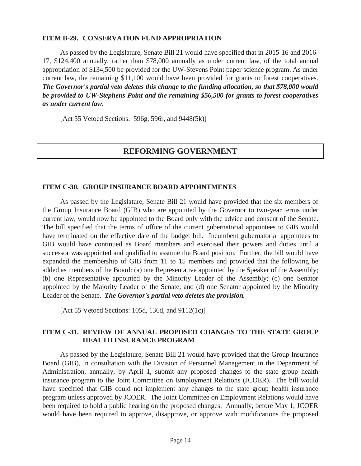#### **ITEM B-29. CONSERVATION FUND APPROPRIATION**

 As passed by the Legislature, Senate Bill 21 would have specified that in 2015-16 and 2016- 17, \$124,400 annually, rather than \$78,000 annually as under current law, of the total annual appropriation of \$134,500 be provided for the UW-Stevens Point paper science program. As under current law, the remaining \$11,100 would have been provided for grants to forest cooperatives. *The Governor's partial veto deletes this change to the funding allocation, so that \$78,000 would be provided to UW-Stephens Point and the remaining \$56,500 for grants to forest cooperatives as under current law.* 

[Act 55 Vetoed Sections: 596g, 596r, and 9448(5k)]

## **REFORMING GOVERNMENT**

#### **ITEM C-30. GROUP INSURANCE BOARD APPOINTMENTS**

 As passed by the Legislature, Senate Bill 21 would have provided that the six members of the Group Insurance Board (GIB) who are appointed by the Governor to two-year terms under current law, would now be appointed to the Board only with the advice and consent of the Senate. The bill specified that the terms of office of the current gubernatorial appointees to GIB would have terminated on the effective date of the budget bill. Incumbent gubernatorial appointees to GIB would have continued as Board members and exercised their powers and duties until a successor was appointed and qualified to assume the Board position. Further, the bill would have expanded the membership of GIB from 11 to 15 members and provided that the following be added as members of the Board: (a) one Representative appointed by the Speaker of the Assembly; (b) one Representative appointed by the Minority Leader of the Assembly; (c) one Senator appointed by the Majority Leader of the Senate; and (d) one Senator appointed by the Minority Leader of the Senate. *The Governor's partial veto deletes the provision.* 

[Act 55 Vetoed Sections: 105d, 136d, and 9112(1c)]

#### **ITEM C-31. REVIEW OF ANNUAL PROPOSED CHANGES TO THE STATE GROUP HEALTH INSURANCE PROGRAM**

 As passed by the Legislature, Senate Bill 21 would have provided that the Group Insurance Board (GIB), in consultation with the Division of Personnel Management in the Department of Administration, annually, by April 1, submit any proposed changes to the state group health insurance program to the Joint Committee on Employment Relations (JCOER). The bill would have specified that GIB could not implement any changes to the state group health insurance program unless approved by JCOER. The Joint Committee on Employment Relations would have been required to hold a public hearing on the proposed changes. Annually, before May 1, JCOER would have been required to approve, disapprove, or approve with modifications the proposed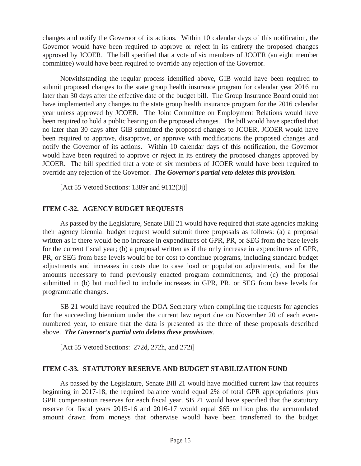changes and notify the Governor of its actions. Within 10 calendar days of this notification, the Governor would have been required to approve or reject in its entirety the proposed changes approved by JCOER. The bill specified that a vote of six members of JCOER (an eight member committee) would have been required to override any rejection of the Governor.

 Notwithstanding the regular process identified above, GIB would have been required to submit proposed changes to the state group health insurance program for calendar year 2016 no later than 30 days after the effective date of the budget bill. The Group Insurance Board could not have implemented any changes to the state group health insurance program for the 2016 calendar year unless approved by JCOER. The Joint Committee on Employment Relations would have been required to hold a public hearing on the proposed changes. The bill would have specified that no later than 30 days after GIB submitted the proposed changes to JCOER, JCOER would have been required to approve, disapprove, or approve with modifications the proposed changes and notify the Governor of its actions. Within 10 calendar days of this notification, the Governor would have been required to approve or reject in its entirety the proposed changes approved by JCOER. The bill specified that a vote of six members of JCOER would have been required to override any rejection of the Governor. *The Governor's partial veto deletes this provision.* 

[Act 55 Vetoed Sections: 1389r and 9112(3j)]

## **ITEM C-32. AGENCY BUDGET REQUESTS**

 As passed by the Legislature, Senate Bill 21 would have required that state agencies making their agency biennial budget request would submit three proposals as follows: (a) a proposal written as if there would be no increase in expenditures of GPR, PR, or SEG from the base levels for the current fiscal year; (b) a proposal written as if the only increase in expenditures of GPR, PR, or SEG from base levels would be for cost to continue programs, including standard budget adjustments and increases in costs due to case load or population adjustments, and for the amounts necessary to fund previously enacted program commitments; and (c) the proposal submitted in (b) but modified to include increases in GPR, PR, or SEG from base levels for programmatic changes.

 SB 21 would have required the DOA Secretary when compiling the requests for agencies for the succeeding biennium under the current law report due on November 20 of each evennumbered year, to ensure that the data is presented as the three of these proposals described above. *The Governor's partial veto deletes these provisions.*

[Act 55 Vetoed Sections: 272d, 272h, and 272i]

## **ITEM C-33. STATUTORY RESERVE AND BUDGET STABILIZATION FUND**

 As passed by the Legislature, Senate Bill 21 would have modified current law that requires beginning in 2017-18, the required balance would equal 2% of total GPR appropriations plus GPR compensation reserves for each fiscal year. SB 21 would have specified that the statutory reserve for fiscal years 2015-16 and 2016-17 would equal \$65 million plus the accumulated amount drawn from moneys that otherwise would have been transferred to the budget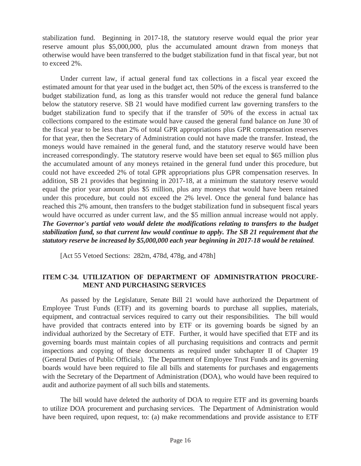stabilization fund. Beginning in 2017-18, the statutory reserve would equal the prior year reserve amount plus \$5,000,000, plus the accumulated amount drawn from moneys that otherwise would have been transferred to the budget stabilization fund in that fiscal year, but not to exceed 2%.

 Under current law, if actual general fund tax collections in a fiscal year exceed the estimated amount for that year used in the budget act, then 50% of the excess is transferred to the budget stabilization fund, as long as this transfer would not reduce the general fund balance below the statutory reserve. SB 21 would have modified current law governing transfers to the budget stabilization fund to specify that if the transfer of 50% of the excess in actual tax collections compared to the estimate would have caused the general fund balance on June 30 of the fiscal year to be less than 2% of total GPR appropriations plus GPR compensation reserves for that year, then the Secretary of Administration could not have made the transfer. Instead, the moneys would have remained in the general fund, and the statutory reserve would have been increased correspondingly. The statutory reserve would have been set equal to \$65 million plus the accumulated amount of any moneys retained in the general fund under this procedure, but could not have exceeded 2% of total GPR appropriations plus GPR compensation reserves. In addition, SB 21 provides that beginning in 2017-18, at a minimum the statutory reserve would equal the prior year amount plus \$5 million, plus any moneys that would have been retained under this procedure, but could not exceed the 2% level. Once the general fund balance has reached this 2% amount, then transfers to the budget stabilization fund in subsequent fiscal years would have occurred as under current law, and the \$5 million annual increase would not apply. *The Governor's partial veto would delete the modifications relating to transfers to the budget stabilization fund, so that current law would continue to apply. The SB 21 requirement that the statutory reserve be increased by \$5,000,000 each year beginning in 2017-18 would be retained.* 

[Act 55 Vetoed Sections: 282m, 478d, 478g, and 478h]

## **ITEM C-34. UTILIZATION OF DEPARTMENT OF ADMINISTRATION PROCURE-MENT AND PURCHASING SERVICES**

 As passed by the Legislature, Senate Bill 21 would have authorized the Department of Employee Trust Funds (ETF) and its governing boards to purchase all supplies, materials, equipment, and contractual services required to carry out their responsibilities. The bill would have provided that contracts entered into by ETF or its governing boards be signed by an individual authorized by the Secretary of ETF. Further, it would have specified that ETF and its governing boards must maintain copies of all purchasing requisitions and contracts and permit inspections and copying of these documents as required under subchapter II of Chapter 19 (General Duties of Public Officials). The Department of Employee Trust Funds and its governing boards would have been required to file all bills and statements for purchases and engagements with the Secretary of the Department of Administration (DOA), who would have been required to audit and authorize payment of all such bills and statements.

 The bill would have deleted the authority of DOA to require ETF and its governing boards to utilize DOA procurement and purchasing services. The Department of Administration would have been required, upon request, to: (a) make recommendations and provide assistance to ETF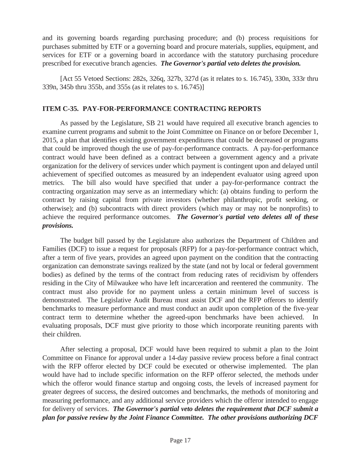and its governing boards regarding purchasing procedure; and (b) process requisitions for purchases submitted by ETF or a governing board and procure materials, supplies, equipment, and services for ETF or a governing board in accordance with the statutory purchasing procedure prescribed for executive branch agencies. *The Governor's partial veto deletes the provision.* 

 [Act 55 Vetoed Sections: 282s, 326q, 327b, 327d (as it relates to s. 16.745), 330n, 333r thru 339n, 345b thru 355b, and 355s (as it relates to s. 16.745)]

## **ITEM C-35. PAY-FOR-PERFORMANCE CONTRACTING REPORTS**

 As passed by the Legislature, SB 21 would have required all executive branch agencies to examine current programs and submit to the Joint Committee on Finance on or before December 1, 2015, a plan that identifies existing government expenditures that could be decreased or programs that could be improved though the use of pay-for-performance contracts. A pay-for-performance contract would have been defined as a contract between a government agency and a private organization for the delivery of services under which payment is contingent upon and delayed until achievement of specified outcomes as measured by an independent evaluator using agreed upon metrics. The bill also would have specified that under a pay-for-performance contract the contracting organization may serve as an intermediary which: (a) obtains funding to perform the contract by raising capital from private investors (whether philanthropic, profit seeking, or otherwise); and (b) subcontracts with direct providers (which may or may not be nonprofits) to achieve the required performance outcomes. *The Governor's partial veto deletes all of these provisions.* 

 The budget bill passed by the Legislature also authorizes the Department of Children and Families (DCF) to issue a request for proposals (RFP) for a pay-for-performance contract which, after a term of five years, provides an agreed upon payment on the condition that the contracting organization can demonstrate savings realized by the state (and not by local or federal government bodies) as defined by the terms of the contract from reducing rates of recidivism by offenders residing in the City of Milwaukee who have left incarceration and reentered the community. The contract must also provide for no payment unless a certain minimum level of success is demonstrated. The Legislative Audit Bureau must assist DCF and the RFP offerors to identify benchmarks to measure performance and must conduct an audit upon completion of the five-year contract term to determine whether the agreed-upon benchmarks have been achieved. In evaluating proposals, DCF must give priority to those which incorporate reuniting parents with their children.

 After selecting a proposal, DCF would have been required to submit a plan to the Joint Committee on Finance for approval under a 14-day passive review process before a final contract with the RFP offeror elected by DCF could be executed or otherwise implemented. The plan would have had to include specific information on the RFP offeror selected, the methods under which the offeror would finance startup and ongoing costs, the levels of increased payment for greater degrees of success, the desired outcomes and benchmarks, the methods of monitoring and measuring performance, and any additional service providers which the offeror intended to engage for delivery of services. *The Governor's partial veto deletes the requirement that DCF submit a plan for passive review by the Joint Finance Committee. The other provisions authorizing DCF*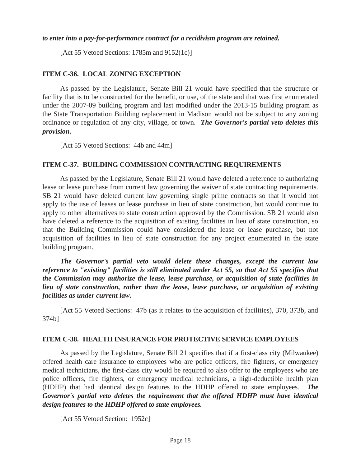#### *to enter into a pay-for-performance contract for a recidivism program are retained.*

[Act 55 Vetoed Sections: 1785m and 9152(1c)]

#### **ITEM C-36. LOCAL ZONING EXCEPTION**

 As passed by the Legislature, Senate Bill 21 would have specified that the structure or facility that is to be constructed for the benefit, or use, of the state and that was first enumerated under the 2007-09 building program and last modified under the 2013-15 building program as the State Transportation Building replacement in Madison would not be subject to any zoning ordinance or regulation of any city, village, or town. *The Governor's partial veto deletes this provision.* 

[Act 55 Vetoed Sections: 44b and 44m]

#### **ITEM C-37. BUILDING COMMISSION CONTRACTING REQUIREMENTS**

 As passed by the Legislature, Senate Bill 21 would have deleted a reference to authorizing lease or lease purchase from current law governing the waiver of state contracting requirements. SB 21 would have deleted current law governing single prime contracts so that it would not apply to the use of leases or lease purchase in lieu of state construction, but would continue to apply to other alternatives to state construction approved by the Commission. SB 21 would also have deleted a reference to the acquisition of existing facilities in lieu of state construction, so that the Building Commission could have considered the lease or lease purchase, but not acquisition of facilities in lieu of state construction for any project enumerated in the state building program.

 *The Governor's partial veto would delete these changes, except the current law reference to "existing" facilities is still eliminated under Act 55, so that Act 55 specifies that the Commission may authorize the lease, lease purchase, or acquisition of state facilities in lieu of state construction, rather than the lease, lease purchase, or acquisition of existing facilities as under current law.* 

 [Act 55 Vetoed Sections: 47b (as it relates to the acquisition of facilities), 370, 373b, and 374b]

#### **ITEM C-38. HEALTH INSURANCE FOR PROTECTIVE SERVICE EMPLOYEES**

 As passed by the Legislature, Senate Bill 21 specifies that if a first-class city (Milwaukee) offered health care insurance to employees who are police officers, fire fighters, or emergency medical technicians, the first-class city would be required to also offer to the employees who are police officers, fire fighters, or emergency medical technicians, a high-deductible health plan (HDHP) that had identical design features to the HDHP offered to state employees. *The Governor's partial veto deletes the requirement that the offered HDHP must have identical design features to the HDHP offered to state employees.* 

[Act 55 Vetoed Section: 1952c]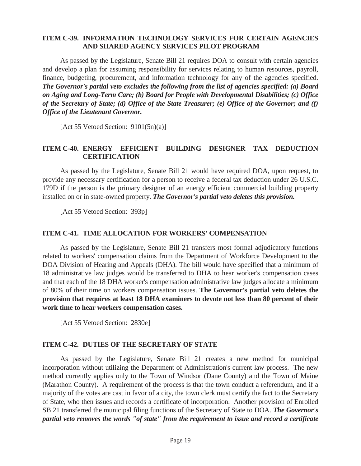#### **ITEM C-39. INFORMATION TECHNOLOGY SERVICES FOR CERTAIN AGENCIES AND SHARED AGENCY SERVICES PILOT PROGRAM**

 As passed by the Legislature, Senate Bill 21 requires DOA to consult with certain agencies and develop a plan for assuming responsibility for services relating to human resources, payroll, finance, budgeting, procurement, and information technology for any of the agencies specified. *The Governor's partial veto excludes the following from the list of agencies specified: (a) Board on Aging and Long-Term Care; (b) Board for People with Developmental Disabilities; (c) Office of the Secretary of State; (d) Office of the State Treasurer; (e) Office of the Governor; and (f) Office of the Lieutenant Governor.* 

[Act 55 Vetoed Section:  $9101(5n)(a)$ ]

#### **ITEM C-40. ENERGY EFFICIENT BUILDING DESIGNER TAX DEDUCTION CERTIFICATION**

 As passed by the Legislature, Senate Bill 21 would have required DOA, upon request, to provide any necessary certification for a person to receive a federal tax deduction under 26 U.S.C. 179D if the person is the primary designer of an energy efficient commercial building property installed on or in state-owned property. *The Governor's partial veto deletes this provision.* 

[Act 55 Vetoed Section: 393p]

#### **ITEM C-41. TIME ALLOCATION FOR WORKERS' COMPENSATION**

 As passed by the Legislature, Senate Bill 21 transfers most formal adjudicatory functions related to workers' compensation claims from the Department of Workforce Development to the DOA Division of Hearing and Appeals (DHA). The bill would have specified that a minimum of 18 administrative law judges would be transferred to DHA to hear worker's compensation cases and that each of the 18 DHA worker's compensation administrative law judges allocate a minimum of 80% of their time on workers compensation issues. **The Governor's partial veto deletes the provision that requires at least 18 DHA examiners to devote not less than 80 percent of their work time to hear workers compensation cases.** 

[Act 55 Vetoed Section: 2830e]

## **ITEM C-42. DUTIES OF THE SECRETARY OF STATE**

 As passed by the Legislature, Senate Bill 21 creates a new method for municipal incorporation without utilizing the Department of Administration's current law process. The new method currently applies only to the Town of Windsor (Dane County) and the Town of Maine (Marathon County). A requirement of the process is that the town conduct a referendum, and if a majority of the votes are cast in favor of a city, the town clerk must certify the fact to the Secretary of State, who then issues and records a certificate of incorporation. Another provision of Enrolled SB 21 transferred the municipal filing functions of the Secretary of State to DOA. *The Governor's partial veto removes the words "of state" from the requirement to issue and record a certificate*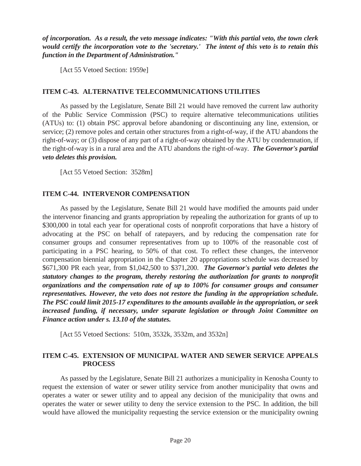*of incorporation. As a result, the veto message indicates: "With this partial veto, the town clerk would certify the incorporation vote to the 'secretary.' The intent of this veto is to retain this function in the Department of Administration."* 

[Act 55 Vetoed Section: 1959e]

#### **ITEM C-43. ALTERNATIVE TELECOMMUNICATIONS UTILITIES**

 As passed by the Legislature, Senate Bill 21 would have removed the current law authority of the Public Service Commission (PSC) to require alternative telecommunications utilities (ATUs) to: (1) obtain PSC approval before abandoning or discontinuing any line, extension, or service; (2) remove poles and certain other structures from a right-of-way, if the ATU abandons the right-of-way; or (3) dispose of any part of a right-of-way obtained by the ATU by condemnation, if the right-of-way is in a rural area and the ATU abandons the right-of-way. *The Governor's partial veto deletes this provision.* 

[Act 55 Vetoed Section: 3528m]

## **ITEM C-44. INTERVENOR COMPENSATION**

 As passed by the Legislature, Senate Bill 21 would have modified the amounts paid under the intervenor financing and grants appropriation by repealing the authorization for grants of up to \$300,000 in total each year for operational costs of nonprofit corporations that have a history of advocating at the PSC on behalf of ratepayers, and by reducing the compensation rate for consumer groups and consumer representatives from up to 100% of the reasonable cost of participating in a PSC hearing, to 50% of that cost. To reflect these changes, the intervenor compensation biennial appropriation in the Chapter 20 appropriations schedule was decreased by \$671,300 PR each year, from \$1,042,500 to \$371,200. *The Governor's partial veto deletes the statutory changes to the program, thereby restoring the authorization for grants to nonprofit organizations and the compensation rate of up to 100% for consumer groups and consumer representatives. However, the veto does not restore the funding in the appropriation schedule. The PSC could limit 2015-17 expenditures to the amounts available in the appropriation, or seek increased funding, if necessary, under separate legislation or through Joint Committee on Finance action under s. 13.10 of the statutes.* 

[Act 55 Vetoed Sections: 510m, 3532k, 3532m, and 3532n]

#### **ITEM C-45. EXTENSION OF MUNICIPAL WATER AND SEWER SERVICE APPEALS PROCESS**

 As passed by the Legislature, Senate Bill 21 authorizes a municipality in Kenosha County to request the extension of water or sewer utility service from another municipality that owns and operates a water or sewer utility and to appeal any decision of the municipality that owns and operates the water or sewer utility to deny the service extension to the PSC. In addition, the bill would have allowed the municipality requesting the service extension or the municipality owning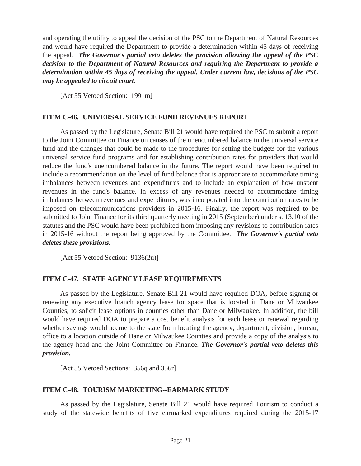and operating the utility to appeal the decision of the PSC to the Department of Natural Resources and would have required the Department to provide a determination within 45 days of receiving the appeal. *The Governor's partial veto deletes the provision allowing the appeal of the PSC decision to the Department of Natural Resources and requiring the Department to provide a determination within 45 days of receiving the appeal. Under current law, decisions of the PSC may be appealed to circuit court.* 

[Act 55 Vetoed Section: 1991m]

#### **ITEM C-46. UNIVERSAL SERVICE FUND REVENUES REPORT**

 As passed by the Legislature, Senate Bill 21 would have required the PSC to submit a report to the Joint Committee on Finance on causes of the unencumbered balance in the universal service fund and the changes that could be made to the procedures for setting the budgets for the various universal service fund programs and for establishing contribution rates for providers that would reduce the fund's unencumbered balance in the future. The report would have been required to include a recommendation on the level of fund balance that is appropriate to accommodate timing imbalances between revenues and expenditures and to include an explanation of how unspent revenues in the fund's balance, in excess of any revenues needed to accommodate timing imbalances between revenues and expenditures, was incorporated into the contribution rates to be imposed on telecommunications providers in 2015-16. Finally, the report was required to be submitted to Joint Finance for its third quarterly meeting in 2015 (September) under s. 13.10 of the statutes and the PSC would have been prohibited from imposing any revisions to contribution rates in 2015-16 without the report being approved by the Committee. *The Governor's partial veto deletes these provisions.* 

[Act 55 Vetoed Section: 9136(2u)]

#### **ITEM C-47. STATE AGENCY LEASE REQUIREMENTS**

 As passed by the Legislature, Senate Bill 21 would have required DOA, before signing or renewing any executive branch agency lease for space that is located in Dane or Milwaukee Counties, to solicit lease options in counties other than Dane or Milwaukee. In addition, the bill would have required DOA to prepare a cost benefit analysis for each lease or renewal regarding whether savings would accrue to the state from locating the agency, department, division, bureau, office to a location outside of Dane or Milwaukee Counties and provide a copy of the analysis to the agency head and the Joint Committee on Finance. *The Governor's partial veto deletes this provision.* 

[Act 55 Vetoed Sections: 356q and 356r]

#### **ITEM C-48. TOURISM MARKETING--EARMARK STUDY**

 As passed by the Legislature, Senate Bill 21 would have required Tourism to conduct a study of the statewide benefits of five earmarked expenditures required during the 2015-17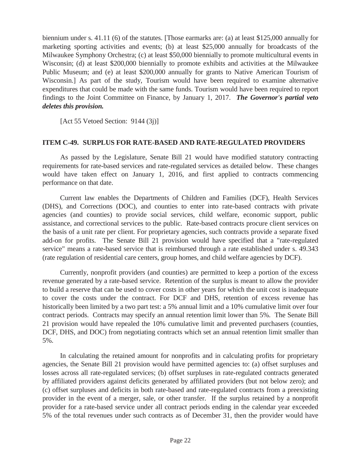biennium under s. 41.11 (6) of the statutes. [Those earmarks are: (a) at least \$125,000 annually for marketing sporting activities and events; (b) at least \$25,000 annually for broadcasts of the Milwaukee Symphony Orchestra; (c) at least \$50,000 biennially to promote multicultural events in Wisconsin; (d) at least \$200,000 biennially to promote exhibits and activities at the Milwaukee Public Museum; and (e) at least \$200,000 annually for grants to Native American Tourism of Wisconsin.] As part of the study, Tourism would have been required to examine alternative expenditures that could be made with the same funds. Tourism would have been required to report findings to the Joint Committee on Finance, by January 1, 2017. *The Governor's partial veto deletes this provision.* 

[Act 55 Vetoed Section: 9144 (3j)]

#### **ITEM C-49. SURPLUS FOR RATE-BASED AND RATE-REGULATED PROVIDERS**

 As passed by the Legislature, Senate Bill 21 would have modified statutory contracting requirements for rate-based services and rate-regulated services as detailed below. These changes would have taken effect on January 1, 2016, and first applied to contracts commencing performance on that date.

 Current law enables the Departments of Children and Families (DCF), Health Services (DHS), and Corrections (DOC), and counties to enter into rate-based contracts with private agencies (and counties) to provide social services, child welfare, economic support, public assistance, and correctional services to the public. Rate-based contracts procure client services on the basis of a unit rate per client. For proprietary agencies, such contracts provide a separate fixed add-on for profits. The Senate Bill 21 provision would have specified that a "rate-regulated service" means a rate-based service that is reimbursed through a rate established under s. 49.343 (rate regulation of residential care centers, group homes, and child welfare agencies by DCF).

 Currently, nonprofit providers (and counties) are permitted to keep a portion of the excess revenue generated by a rate-based service. Retention of the surplus is meant to allow the provider to build a reserve that can be used to cover costs in other years for which the unit cost is inadequate to cover the costs under the contract. For DCF and DHS, retention of excess revenue has historically been limited by a two part test: a 5% annual limit and a 10% cumulative limit over four contract periods. Contracts may specify an annual retention limit lower than 5%. The Senate Bill 21 provision would have repealed the 10% cumulative limit and prevented purchasers (counties, DCF, DHS, and DOC) from negotiating contracts which set an annual retention limit smaller than 5%.

 In calculating the retained amount for nonprofits and in calculating profits for proprietary agencies, the Senate Bill 21 provision would have permitted agencies to: (a) offset surpluses and losses across all rate-regulated services; (b) offset surpluses in rate-regulated contracts generated by affiliated providers against deficits generated by affiliated providers (but not below zero); and (c) offset surpluses and deficits in both rate-based and rate-regulated contracts from a preexisting provider in the event of a merger, sale, or other transfer. If the surplus retained by a nonprofit provider for a rate-based service under all contract periods ending in the calendar year exceeded 5% of the total revenues under such contracts as of December 31, then the provider would have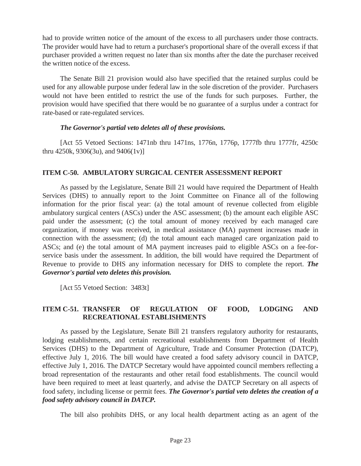had to provide written notice of the amount of the excess to all purchasers under those contracts. The provider would have had to return a purchaser's proportional share of the overall excess if that purchaser provided a written request no later than six months after the date the purchaser received the written notice of the excess.

 The Senate Bill 21 provision would also have specified that the retained surplus could be used for any allowable purpose under federal law in the sole discretion of the provider. Purchasers would not have been entitled to restrict the use of the funds for such purposes. Further, the provision would have specified that there would be no guarantee of a surplus under a contract for rate-based or rate-regulated services.

#### *The Governor's partial veto deletes all of these provisions.*

[Act 55 Vetoed Sections: 1471nb thru 1471ns, 1776n, 1776p, 1777fb thru 1777fr, 4250c thru 4250k, 9306(3u), and 9406(1v)]

#### **ITEM C-50. AMBULATORY SURGICAL CENTER ASSESSMENT REPORT**

As passed by the Legislature, Senate Bill 21 would have required the Department of Health Services (DHS) to annually report to the Joint Committee on Finance all of the following information for the prior fiscal year: (a) the total amount of revenue collected from eligible ambulatory surgical centers (ASCs) under the ASC assessment; (b) the amount each eligible ASC paid under the assessment; (c) the total amount of money received by each managed care organization, if money was received, in medical assistance (MA) payment increases made in connection with the assessment; (d) the total amount each managed care organization paid to ASCs; and (e) the total amount of MA payment increases paid to eligible ASCs on a fee-forservice basis under the assessment. In addition, the bill would have required the Department of Revenue to provide to DHS any information necessary for DHS to complete the report. *The Governor's partial veto deletes this provision.* 

[Act 55 Vetoed Section: 3483t]

## **ITEM C-51. TRANSFER OF REGULATION OF FOOD, LODGING AND RECREATIONAL ESTABLISHMENTS**

 As passed by the Legislature, Senate Bill 21 transfers regulatory authority for restaurants, lodging establishments, and certain recreational establishments from Department of Health Services (DHS) to the Department of Agriculture, Trade and Consumer Protection (DATCP), effective July 1, 2016. The bill would have created a food safety advisory council in DATCP, effective July 1, 2016. The DATCP Secretary would have appointed council members reflecting a broad representation of the restaurants and other retail food establishments. The council would have been required to meet at least quarterly, and advise the DATCP Secretary on all aspects of food safety, including license or permit fees. *The Governor's partial veto deletes the creation of a food safety advisory council in DATCP.* 

The bill also prohibits DHS, or any local health department acting as an agent of the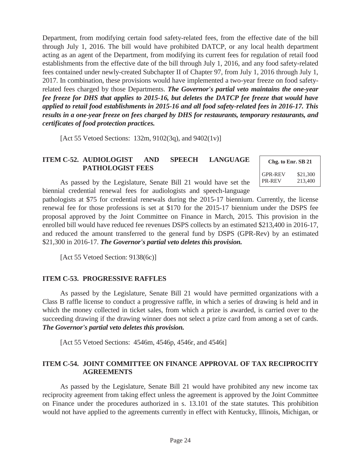Department, from modifying certain food safety-related fees, from the effective date of the bill through July 1, 2016. The bill would have prohibited DATCP, or any local health department acting as an agent of the Department, from modifying its current fees for regulation of retail food establishments from the effective date of the bill through July 1, 2016, and any food safety-related fees contained under newly-created Subchapter II of Chapter 97, from July 1, 2016 through July 1, 2017. In combination, these provisions would have implemented a two-year freeze on food safetyrelated fees charged by those Departments. *The Governor's partial veto maintains the one-year fee freeze for DHS that applies to 2015-16, but deletes the DATCP fee freeze that would have applied to retail food establishments in 2015-16 and all food safety-related fees in 2016-17. This results in a one-year freeze on fees charged by DHS for restaurants, temporary restaurants, and certificates of food protection practices.* 

[Act 55 Vetoed Sections: 132m,  $9102(3q)$ , and  $9402(1v)$ ]

#### **ITEM C-52. AUDIOLOGIST AND SPEECH LANGUAGE PATHOLOGIST FEES**

 As passed by the Legislature, Senate Bill 21 would have set the biennial credential renewal fees for audiologists and speech-language

| Chg. to Enr. SB 21 |          |
|--------------------|----------|
| GPR-REV            | \$21,300 |
| PR-REV             | 213,400  |

pathologists at \$75 for credential renewals during the 2015-17 biennium. Currently, the license renewal fee for those professions is set at \$170 for the 2015-17 biennium under the DSPS fee proposal approved by the Joint Committee on Finance in March, 2015. This provision in the enrolled bill would have reduced fee revenues DSPS collects by an estimated \$213,400 in 2016-17, and reduced the amount transferred to the general fund by DSPS (GPR-Rev) by an estimated \$21,300 in 2016-17. *The Governor's partial veto deletes this provision.* 

[Act 55 Vetoed Section: 9138(6c)]

#### **ITEM C-53. PROGRESSIVE RAFFLES**

 As passed by the Legislature, Senate Bill 21 would have permitted organizations with a Class B raffle license to conduct a progressive raffle, in which a series of drawing is held and in which the money collected in ticket sales, from which a prize is awarded, is carried over to the succeeding drawing if the drawing winner does not select a prize card from among a set of cards. *The Governor's partial veto deletes this provision.* 

[Act 55 Vetoed Sections: 4546m, 4546p, 4546r, and 4546t]

#### **ITEM C-54. JOINT COMMITTEE ON FINANCE APPROVAL OF TAX RECIPROCITY AGREEMENTS**

 As passed by the Legislature, Senate Bill 21 would have prohibited any new income tax reciprocity agreement from taking effect unless the agreement is approved by the Joint Committee on Finance under the procedures authorized in s. 13.101 of the state statutes. This prohibition would not have applied to the agreements currently in effect with Kentucky, Illinois, Michigan, or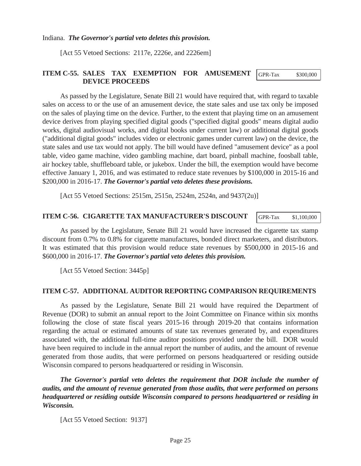Indiana. *The Governor's partial veto deletes this provision.*

[Act 55 Vetoed Sections: 2117e, 2226e, and 2226em]

#### **ITEM C-55. SALES TAX EXEMPTION FOR AMUSEMENT DEVICE PROCEEDS**  GPR-Tax \$300,000

 As passed by the Legislature, Senate Bill 21 would have required that, with regard to taxable sales on access to or the use of an amusement device, the state sales and use tax only be imposed on the sales of playing time on the device. Further, to the extent that playing time on an amusement device derives from playing specified digital goods ("specified digital goods" means digital audio works, digital audiovisual works, and digital books under current law) or additional digital goods ("additional digital goods" includes video or electronic games under current law) on the device, the state sales and use tax would not apply. The bill would have defined "amusement device" as a pool table, video game machine, video gambling machine, dart board, pinball machine, foosball table, air hockey table, shuffleboard table, or jukebox. Under the bill, the exemption would have become effective January 1, 2016, and was estimated to reduce state revenues by \$100,000 in 2015-16 and \$200,000 in 2016-17. *The Governor's partial veto deletes these provisions.* 

[Act 55 Vetoed Sections: 2515m, 2515n, 2524m, 2524n, and 9437(2u)]

#### **ITEM C-56. CIGARETTE TAX MANUFACTURER'S DISCOUNT**

As passed by the Legislature, Senate Bill 21 would have increased the cigarette tax stamp discount from 0.7% to 0.8% for cigarette manufactures, bonded direct marketers, and distributors. It was estimated that this provision would reduce state revenues by \$500,000 in 2015-16 and \$600,000 in 2016-17. *The Governor's partial veto deletes this provision.* 

[Act 55 Vetoed Section: 3445p]

#### **ITEM C-57. ADDITIONAL AUDITOR REPORTING COMPARISON REQUIREMENTS**

 As passed by the Legislature, Senate Bill 21 would have required the Department of Revenue (DOR) to submit an annual report to the Joint Committee on Finance within six months following the close of state fiscal years 2015-16 through 2019-20 that contains information regarding the actual or estimated amounts of state tax revenues generated by, and expenditures associated with, the additional full-time auditor positions provided under the bill. DOR would have been required to include in the annual report the number of audits, and the amount of revenue generated from those audits, that were performed on persons headquartered or residing outside Wisconsin compared to persons headquartered or residing in Wisconsin.

 *The Governor's partial veto deletes the requirement that DOR include the number of audits, and the amount of revenue generated from those audits, that were performed on persons headquartered or residing outside Wisconsin compared to persons headquartered or residing in Wisconsin.* 

[Act 55 Vetoed Section: 9137]

GPR-Tax \$1,100,000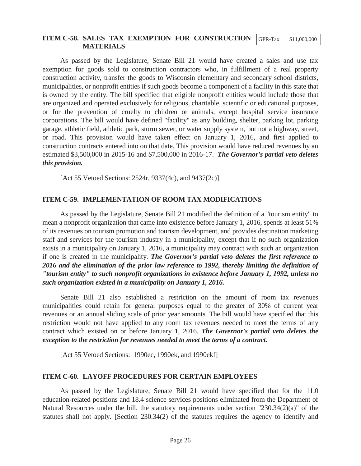#### **ITEM C-58. SALES TAX EXEMPTION FOR CONSTRUCTION MATERIALS**  GPR-Tax \$11,000,000

As passed by the Legislature, Senate Bill 21 would have created a sales and use tax exemption for goods sold to construction contractors who, in fulfillment of a real property construction activity, transfer the goods to Wisconsin elementary and secondary school districts, municipalities, or nonprofit entities if such goods become a component of a facility in this state that is owned by the entity. The bill specified that eligible nonprofit entities would include those that are organized and operated exclusively for religious, charitable, scientific or educational purposes, or for the prevention of cruelty to children or animals, except hospital service insurance corporations. The bill would have defined "facility" as any building, shelter, parking lot, parking garage, athletic field, athletic park, storm sewer, or water supply system, but not a highway, street, or road. This provision would have taken effect on January 1, 2016, and first applied to construction contracts entered into on that date. This provision would have reduced revenues by an estimated \$3,500,000 in 2015-16 and \$7,500,000 in 2016-17. *The Governor's partial veto deletes this provision.* 

[Act 55 Vetoed Sections: 2524r, 9337(4c), and 9437(2c)]

#### **ITEM C-59. IMPLEMENTATION OF ROOM TAX MODIFICATIONS**

 As passed by the Legislature, Senate Bill 21 modified the definition of a "tourism entity" to mean a nonprofit organization that came into existence before January 1, 2016, spends at least 51% of its revenues on tourism promotion and tourism development, and provides destination marketing staff and services for the tourism industry in a municipality, except that if no such organization exists in a municipality on January 1, 2016, a municipality may contract with such an organization if one is created in the municipality. *The Governor's partial veto deletes the first reference to 2016 and the elimination of the prior law reference to 1992, thereby limiting the definition of "tourism entity" to such nonprofit organizations in existence before January 1, 1992, unless no such organization existed in a municipality on January 1, 2016.* 

 Senate Bill 21 also established a restriction on the amount of room tax revenues municipalities could retain for general purposes equal to the greater of 30% of current year revenues or an annual sliding scale of prior year amounts. The bill would have specified that this restriction would not have applied to any room tax revenues needed to meet the terms of any contract which existed on or before January 1, 2016. *The Governor's partial veto deletes the exception to the restriction for revenues needed to meet the terms of a contract.* 

[Act 55 Vetoed Sections: 1990ec, 1990ek, and 1990ekf]

#### **ITEM C-60. LAYOFF PROCEDURES FOR CERTAIN EMPLOYEES**

 As passed by the Legislature, Senate Bill 21 would have specified that for the 11.0 education-related positions and 18.4 science services positions eliminated from the Department of Natural Resources under the bill, the statutory requirements under section "230.34(2)(a)" of the statutes shall not apply. [Section 230.34(2) of the statutes requires the agency to identify and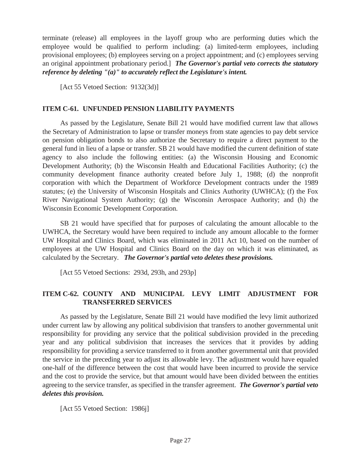terminate (release) all employees in the layoff group who are performing duties which the employee would be qualified to perform including: (a) limited-term employees, including provisional employees; (b) employees serving on a project appointment; and (c) employees serving an original appointment probationary period.] *The Governor's partial veto corrects the statutory reference by deleting "(a)" to accurately reflect the Legislature's intent.*

[Act 55 Vetoed Section: 9132(3d)]

#### **ITEM C-61. UNFUNDED PENSION LIABILITY PAYMENTS**

 As passed by the Legislature, Senate Bill 21 would have modified current law that allows the Secretary of Administration to lapse or transfer moneys from state agencies to pay debt service on pension obligation bonds to also authorize the Secretary to require a direct payment to the general fund in lieu of a lapse or transfer. SB 21 would have modified the current definition of state agency to also include the following entities: (a) the Wisconsin Housing and Economic Development Authority; (b) the Wisconsin Health and Educational Facilities Authority; (c) the community development finance authority created before July 1, 1988; (d) the nonprofit corporation with which the Department of Workforce Development contracts under the 1989 statutes; (e) the University of Wisconsin Hospitals and Clinics Authority (UWHCA); (f) the Fox River Navigational System Authority; (g) the Wisconsin Aerospace Authority; and (h) the Wisconsin Economic Development Corporation.

 SB 21 would have specified that for purposes of calculating the amount allocable to the UWHCA, the Secretary would have been required to include any amount allocable to the former UW Hospital and Clinics Board, which was eliminated in 2011 Act 10, based on the number of employees at the UW Hospital and Clinics Board on the day on which it was eliminated, as calculated by the Secretary. *The Governor's partial veto deletes these provisions.*

[Act 55 Vetoed Sections: 293d, 293h, and 293p]

#### **ITEM C-62. COUNTY AND MUNICIPAL LEVY LIMIT ADJUSTMENT FOR TRANSFERRED SERVICES**

 As passed by the Legislature, Senate Bill 21 would have modified the levy limit authorized under current law by allowing any political subdivision that transfers to another governmental unit responsibility for providing any service that the political subdivision provided in the preceding year and any political subdivision that increases the services that it provides by adding responsibility for providing a service transferred to it from another governmental unit that provided the service in the preceding year to adjust its allowable levy. The adjustment would have equaled one-half of the difference between the cost that would have been incurred to provide the service and the cost to provide the service, but that amount would have been divided between the entities agreeing to the service transfer, as specified in the transfer agreement. *The Governor's partial veto deletes this provision.* 

[Act 55 Vetoed Section: 1986]]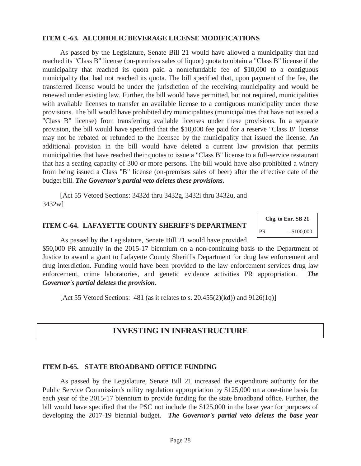#### **ITEM C-63. ALCOHOLIC BEVERAGE LICENSE MODIFICATIONS**

As passed by the Legislature, Senate Bill 21 would have allowed a municipality that had reached its "Class B" license (on-premises sales of liquor) quota to obtain a "Class B" license if the municipality that reached its quota paid a nonrefundable fee of \$10,000 to a contiguous municipality that had not reached its quota. The bill specified that, upon payment of the fee, the transferred license would be under the jurisdiction of the receiving municipality and would be renewed under existing law. Further, the bill would have permitted, but not required, municipalities with available licenses to transfer an available license to a contiguous municipality under these provisions. The bill would have prohibited dry municipalities (municipalities that have not issued a "Class B" license) from transferring available licenses under these provisions. In a separate provision, the bill would have specified that the \$10,000 fee paid for a reserve "Class B" license may not be rebated or refunded to the licensee by the municipality that issued the license. An additional provision in the bill would have deleted a current law provision that permits municipalities that have reached their quotas to issue a "Class B" license to a full-service restaurant that has a seating capacity of 300 or more persons. The bill would have also prohibited a winery from being issued a Class "B" license (on-premises sales of beer) after the effective date of the budget bill. *The Governor's partial veto deletes these provisions.* 

 [Act 55 Vetoed Sections: 3432d thru 3432g, 3432i thru 3432u, and 3432w]

#### **ITEM C-64. LAFAYETTE COUNTY SHERIFF'S DEPARTMENT**

**Chg. to Enr. SB 21**  PR - \$100,000

As passed by the Legislature, Senate Bill 21 would have provided \$50,000 PR annually in the 2015-17 biennium on a non-continuing basis to the Department of Justice to award a grant to Lafayette County Sheriff's Department for drug law enforcement and drug interdiction. Funding would have been provided to the law enforcement services drug law

*Governor's partial deletes the provision.*  [Act 55 Vetoed Sections:  $481$  (as it relates to s. 20.455(2)(kd)) and  $9126(1q)$ ]

## **INVESTING IN INFRASTRUCTURE**

enforcement, crime laboratories, and genetic evidence activities PR appropriation. *The* 

#### **ITEM D-65. STATE BROADBAND OFFICE FUNDING**

 As passed by the Legislature, Senate Bill 21 increased the expenditure authority for the Public Service Commission's utility regulation appropriation by \$125,000 on a one-time basis for each year of the 2015-17 biennium to provide funding for the state broadband office. Further, the bill would have specified that the PSC not include the \$125,000 in the base year for purposes of developing the 2017-19 biennial budget. *The Governor's partial veto deletes the base year*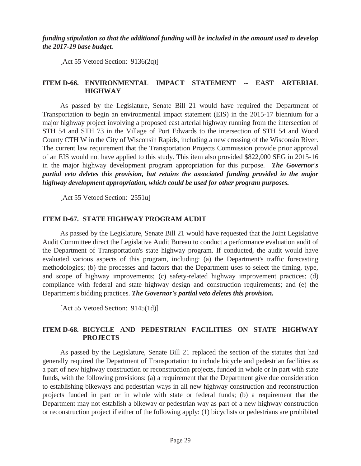*funding stipulation so that the additional funding will be included in the amount used to develop the 2017-19 base budget.* 

[Act 55 Vetoed Section: 9136(2q)]

### **ITEM D-66. ENVIRONMENTAL IMPACT STATEMENT -- EAST ARTERIAL HIGHWAY**

 As passed by the Legislature, Senate Bill 21 would have required the Department of Transportation to begin an environmental impact statement (EIS) in the 2015-17 biennium for a major highway project involving a proposed east arterial highway running from the intersection of STH 54 and STH 73 in the Village of Port Edwards to the intersection of STH 54 and Wood County CTH W in the City of Wisconsin Rapids, including a new crossing of the Wisconsin River. The current law requirement that the Transportation Projects Commission provide prior approval of an EIS would not have applied to this study. This item also provided \$822,000 SEG in 2015-16 in the major highway development program appropriation for this purpose. *The Governor's partial veto deletes this provision, but retains the associated funding provided in the major highway development appropriation, which could be used for other program purposes.* 

[Act 55 Vetoed Section: 2551u]

#### **ITEM D-67. STATE HIGHWAY PROGRAM AUDIT**

 As passed by the Legislature, Senate Bill 21 would have requested that the Joint Legislative Audit Committee direct the Legislative Audit Bureau to conduct a performance evaluation audit of the Department of Transportation's state highway program. If conducted, the audit would have evaluated various aspects of this program, including: (a) the Department's traffic forecasting methodologies; (b) the processes and factors that the Department uses to select the timing, type, and scope of highway improvements; (c) safety-related highway improvement practices; (d) compliance with federal and state highway design and construction requirements; and (e) the Department's bidding practices. *The Governor's partial veto deletes this provision.* 

[Act 55 Vetoed Section: 9145(1d)]

## **ITEM D-68. BICYCLE AND PEDESTRIAN FACILITIES ON STATE HIGHWAY PROJECTS**

 As passed by the Legislature, Senate Bill 21 replaced the section of the statutes that had generally required the Department of Transportation to include bicycle and pedestrian facilities as a part of new highway construction or reconstruction projects, funded in whole or in part with state funds, with the following provisions: (a) a requirement that the Department give due consideration to establishing bikeways and pedestrian ways in all new highway construction and reconstruction projects funded in part or in whole with state or federal funds; (b) a requirement that the Department may not establish a bikeway or pedestrian way as part of a new highway construction or reconstruction project if either of the following apply: (1) bicyclists or pedestrians are prohibited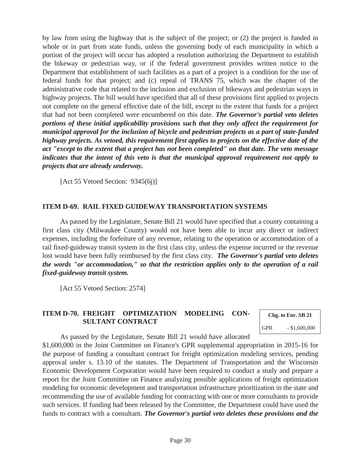by law from using the highway that is the subject of the project; or (2) the project is funded in whole or in part from state funds, unless the governing body of each municipality in which a portion of the project will occur has adopted a resolution authorizing the Department to establish the bikeway or pedestrian way, or if the federal government provides written notice to the Department that establishment of such facilities as a part of a project is a condition for the use of federal funds for that project; and (c) repeal of TRANS 75, which was the chapter of the administrative code that related to the inclusion and exclusion of bikeways and pedestrian ways in highway projects. The bill would have specified that all of these provisions first applied to projects not complete on the general effective date of the bill, except to the extent that funds for a project that had not been completed were encumbered on this date. *The Governor's partial veto deletes portions of these initial applicability provisions such that they only affect the requirement for municipal approval for the inclusion of bicycle and pedestrian projects as a part of state-funded highway projects. As vetoed, this requirement first applies to projects on the effective date of the act "except to the extent that a project has not been completed" on that date. The veto message indicates that the intent of this veto is that the municipal approval requirement not apply to projects that are already underway.* 

[Act 55 Vetoed Section: 9345(6j)]

#### **ITEM D-69. RAIL FIXED GUIDEWAY TRANSPORTATION SYSTEMS**

 As passed by the Legislature, Senate Bill 21 would have specified that a county containing a first class city (Milwaukee County) would not have been able to incur any direct or indirect expenses, including the forfeiture of any revenue, relating to the operation or accommodation of a rail fixed-guideway transit system in the first class city, unless the expense incurred or the revenue lost would have been fully reimbursed by the first class city. *The Governor's partial veto deletes the words "or accommodation," so that the restriction applies only to the operation of a rail fixed-guideway transit system.* 

[Act 55 Vetoed Section: 2574]

#### **ITEM D-70. FREIGHT OPTIMIZATION MODELING CON-SULTANT CONTRACT**

**Chg. to Enr. SB 21**  GPR  $- $1,600,000$ 

As passed by the Legislature, Senate Bill 21 would have allocated

\$1,600,000 in the Joint Committee on Finance's GPR supplemental appropriation in 2015-16 for the purpose of funding a consultant contract for freight optimization modeling services, pending approval under s. 13.10 of the statutes. The Department of Transportation and the Wisconsin Economic Development Corporation would have been required to conduct a study and prepare a report for the Joint Committee on Finance analyzing possible applications of freight optimization modeling for economic development and transportation infrastructure prioritization in the state and recommending the use of available funding for contracting with one or more consultants to provide such services. If funding had been released by the Committee, the Department could have used the funds to contract with a consultant. *The Governor's partial veto deletes these provisions and the*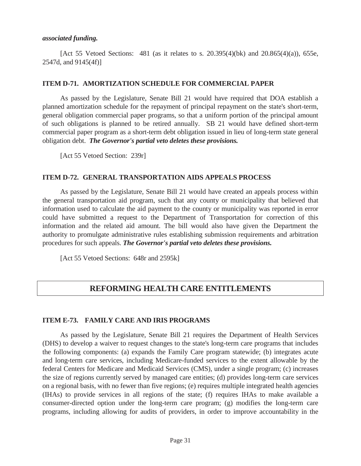#### *associated funding.*

 [Act 55 Vetoed Sections: 481 (as it relates to s. 20.395(4)(bk) and 20.865(4)(a)), 655e, 2547d, and 9145(4f)]

#### **ITEM D-71. AMORTIZATION SCHEDULE FOR COMMERCIAL PAPER**

 As passed by the Legislature, Senate Bill 21 would have required that DOA establish a planned amortization schedule for the repayment of principal repayment on the state's short-term, general obligation commercial paper programs, so that a uniform portion of the principal amount of such obligations is planned to be retired annually. SB 21 would have defined short-term commercial paper program as a short-term debt obligation issued in lieu of long-term state general obligation debt. *The Governor's partial veto deletes these provisions.* 

[Act 55 Vetoed Section: 239r]

#### **ITEM D-72. GENERAL TRANSPORTATION AIDS APPEALS PROCESS**

 As passed by the Legislature, Senate Bill 21 would have created an appeals process within the general transportation aid program, such that any county or municipality that believed that information used to calculate the aid payment to the county or municipality was reported in error could have submitted a request to the Department of Transportation for correction of this information and the related aid amount. The bill would also have given the Department the authority to promulgate administrative rules establishing submission requirements and arbitration procedures for such appeals. *The Governor's partial veto deletes these provisions.* 

[Act 55 Vetoed Sections: 648r and 2595k]

## **REFORMING HEALTH CARE ENTITLEMENTS**

#### **ITEM E-73. FAMILY CARE AND IRIS PROGRAMS**

 As passed by the Legislature, Senate Bill 21 requires the Department of Health Services (DHS) to develop a waiver to request changes to the state's long-term care programs that includes the following components: (a) expands the Family Care program statewide; (b) integrates acute and long-term care services, including Medicare-funded services to the extent allowable by the federal Centers for Medicare and Medicaid Services (CMS), under a single program; (c) increases the size of regions currently served by managed care entities; (d) provides long-term care services on a regional basis, with no fewer than five regions; (e) requires multiple integrated health agencies (IHAs) to provide services in all regions of the state; (f) requires IHAs to make available a consumer-directed option under the long-term care program; (g) modifies the long-term care programs, including allowing for audits of providers, in order to improve accountability in the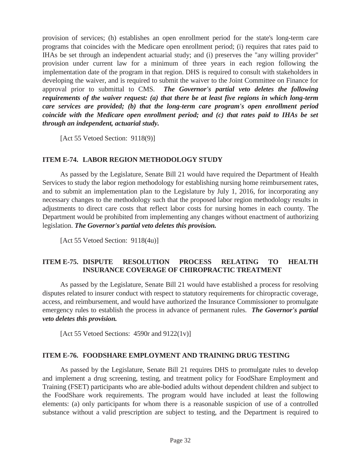provision of services; (h) establishes an open enrollment period for the state's long-term care programs that coincides with the Medicare open enrollment period; (i) requires that rates paid to IHAs be set through an independent actuarial study; and (i) preserves the "any willing provider" provision under current law for a minimum of three years in each region following the implementation date of the program in that region. DHS is required to consult with stakeholders in developing the waiver, and is required to submit the waiver to the Joint Committee on Finance for approval prior to submittal to CMS. *The Governor's partial veto deletes the following requirements of the waiver request: (a) that there be at least five regions in which long-term care services are provided; (b) that the long-term care program's open enrollment period coincide with the Medicare open enrollment period; and (c) that rates paid to IHAs be set through an independent, actuarial study.* 

[Act 55 Vetoed Section: 9118(9)]

#### **ITEM E-74. LABOR REGION METHODOLOGY STUDY**

 As passed by the Legislature, Senate Bill 21 would have required the Department of Health Services to study the labor region methodology for establishing nursing home reimbursement rates, and to submit an implementation plan to the Legislature by July 1, 2016, for incorporating any necessary changes to the methodology such that the proposed labor region methodology results in adjustments to direct care costs that reflect labor costs for nursing homes in each county. The Department would be prohibited from implementing any changes without enactment of authorizing legislation. *The Governor's partial veto deletes this provision.* 

[Act 55 Vetoed Section: 9118(4u)]

#### **ITEM E-75. DISPUTE RESOLUTION PROCESS RELATING TO HEALTH INSURANCE COVERAGE OF CHIROPRACTIC TREATMENT**

 As passed by the Legislature, Senate Bill 21 would have established a process for resolving disputes related to insurer conduct with respect to statutory requirements for chiropractic coverage, access, and reimbursement, and would have authorized the Insurance Commissioner to promulgate emergency rules to establish the process in advance of permanent rules. *The Governor's partial veto deletes this provision.* 

[Act 55 Vetoed Sections: 4590r and 9122(1v)]

#### **ITEM E-76. FOODSHARE EMPLOYMENT AND TRAINING DRUG TESTING**

 As passed by the Legislature, Senate Bill 21 requires DHS to promulgate rules to develop and implement a drug screening, testing, and treatment policy for FoodShare Employment and Training (FSET) participants who are able-bodied adults without dependent children and subject to the FoodShare work requirements. The program would have included at least the following elements: (a) only participants for whom there is a reasonable suspicion of use of a controlled substance without a valid prescription are subject to testing, and the Department is required to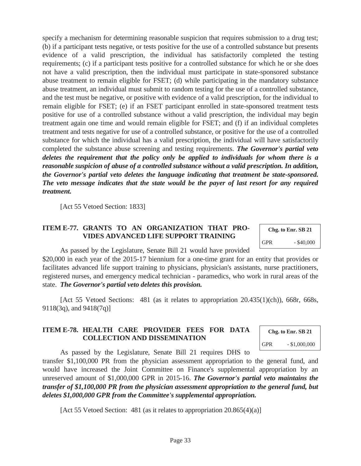specify a mechanism for determining reasonable suspicion that requires submission to a drug test; (b) if a participant tests negative, or tests positive for the use of a controlled substance but presents evidence of a valid prescription, the individual has satisfactorily completed the testing requirements; (c) if a participant tests positive for a controlled substance for which he or she does not have a valid prescription, then the individual must participate in state-sponsored substance abuse treatment to remain eligible for FSET; (d) while participating in the mandatory substance abuse treatment, an individual must submit to random testing for the use of a controlled substance, and the test must be negative, or positive with evidence of a valid prescription, for the individual to remain eligible for FSET; (e) if an FSET participant enrolled in state-sponsored treatment tests positive for use of a controlled substance without a valid prescription, the individual may begin treatment again one time and would remain eligible for FSET; and (f) if an individual completes treatment and tests negative for use of a controlled substance, or positive for the use of a controlled substance for which the individual has a valid prescription, the individual will have satisfactorily completed the substance abuse screening and testing requirements. *The Governor's partial veto deletes the requirement that the policy only be applied to individuals for whom there is a reasonable suspicion of abuse of a controlled substance without a valid prescription. In addition, the Governor's partial veto deletes the language indicating that treatment be state-sponsored. The veto message indicates that the state would be the payer of last resort for any required treatment.* 

[Act 55 Vetoed Section: 1833]

### **ITEM E-77. GRANTS TO AN ORGANIZATION THAT PRO-VIDES ADVANCED LIFE SUPPORT TRAINING**

|     | Chg. to Enr. SB 21 |
|-----|--------------------|
| GPR | $-$ \$40,000       |

As passed by the Legislature, Senate Bill 21 would have provided

\$20,000 in each year of the 2015-17 biennium for a one-time grant for an entity that provides or facilitates advanced life support training to physicians, physician's assistants, nurse practitioners, registered nurses, and emergency medical technician - paramedics, who work in rural areas of the state. *The Governor's partial veto deletes this provision.* 

 [Act 55 Vetoed Sections: 481 (as it relates to appropriation 20.435(1)(ch)), 668r, 668s, 9118(3q), and 9418(7q)]

#### **ITEM E-78. HEALTH CARE PROVIDER FEES FOR DATA COLLECTION AND DISSEMINATION**

**Chg. to Enr. SB 21**  GPR - \$1,000,000

As passed by the Legislature, Senate Bill 21 requires DHS to

transfer \$1,100,000 PR from the physician assessment appropriation to the general fund, and would have increased the Joint Committee on Finance's supplemental appropriation by an unreserved amount of \$1,000,000 GPR in 2015-16. *The Governor's partial veto maintains the transfer of \$1,100,000 PR from the physician assessment appropriation to the general fund, but deletes \$1,000,000 GPR from the Committee's supplemental appropriation.* 

[Act 55 Vetoed Section: 481 (as it relates to appropriation 20.865(4)(a)]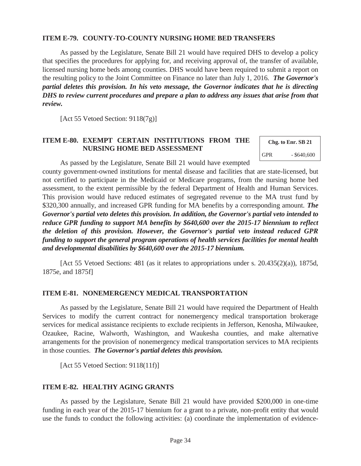#### **ITEM E-79. COUNTY-TO-COUNTY NURSING HOME BED TRANSFERS**

As passed by the Legislature, Senate Bill 21 would have required DHS to develop a policy that specifies the procedures for applying for, and receiving approval of, the transfer of available, licensed nursing home beds among counties. DHS would have been required to submit a report on the resulting policy to the Joint Committee on Finance no later than July 1, 2016. *The Governor's partial deletes this provision. In his veto message, the Governor indicates that he is directing DHS to review current procedures and prepare a plan to address any issues that arise from that review.* 

[Act 55 Vetoed Section: 9118(7g)]

#### **ITEM E-80. EXEMPT CERTAIN INSTITUTIONS FROM THE NURSING HOME BED ASSESSMENT**

**Chg. to Enr. SB 21**  GPR - \$640,600

As passed by the Legislature, Senate Bill 21 would have exempted

county government-owned institutions for mental disease and facilities that are state-licensed, but not certified to participate in the Medicaid or Medicare programs, from the nursing home bed assessment, to the extent permissible by the federal Department of Health and Human Services. This provision would have reduced estimates of segregated revenue to the MA trust fund by \$320,300 annually, and increased GPR funding for MA benefits by a corresponding amount. *The Governor's partial veto deletes this provision. In addition, the Governor's partial veto intended to reduce GPR funding to support MA benefits by \$640,600 over the 2015-17 biennium to reflect the deletion of this provision. However, the Governor's partial veto instead reduced GPR funding to support the general program operations of health services facilities for mental health and developmental disabilities by \$640,600 over the 2015-17 biennium.* 

 [Act 55 Vetoed Sections: 481 (as it relates to appropriations under s. 20.435(2)(a)), 1875d, 1875e, and 1875f]

#### **ITEM E-81. NONEMERGENCY MEDICAL TRANSPORTATION**

 As passed by the Legislature, Senate Bill 21 would have required the Department of Health Services to modify the current contract for nonemergency medical transportation brokerage services for medical assistance recipients to exclude recipients in Jefferson, Kenosha, Milwaukee, Ozaukee, Racine, Walworth, Washington, and Waukesha counties, and make alternative arrangements for the provision of nonemergency medical transportation services to MA recipients in those counties. *The Governor's partial deletes this provision.* 

[Act 55 Vetoed Section: 9118(11f)]

#### **ITEM E-82. HEALTHY AGING GRANTS**

 As passed by the Legislature, Senate Bill 21 would have provided \$200,000 in one-time funding in each year of the 2015-17 biennium for a grant to a private, non-profit entity that would use the funds to conduct the following activities: (a) coordinate the implementation of evidence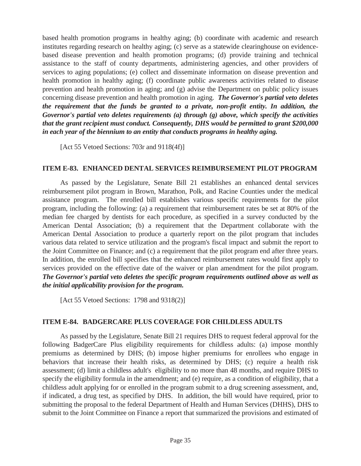based health promotion programs in healthy aging; (b) coordinate with academic and research institutes regarding research on healthy aging; (c) serve as a statewide clearinghouse on evidencebased disease prevention and health promotion programs; (d) provide training and technical assistance to the staff of county departments, administering agencies, and other providers of services to aging populations; (e) collect and disseminate information on disease prevention and health promotion in healthy aging; (f) coordinate public awareness activities related to disease prevention and health promotion in aging; and (g) advise the Department on public policy issues concerning disease prevention and health promotion in aging. *The Governor's partial veto deletes the requirement that the funds be granted to a private, non-profit entity. In addition, the Governor's partial veto deletes requirements (a) through (g) above, which specify the activities that the grant recipient must conduct. Consequently, DHS would be permitted to grant \$200,000 in each year of the biennium to an entity that conducts programs in healthy aging.* 

[Act 55 Vetoed Sections: 703r and 9118(4f)]

#### **ITEM E-83. ENHANCED DENTAL SERVICES REIMBURSEMENT PILOT PROGRAM**

 As passed by the Legislature, Senate Bill 21 establishes an enhanced dental services reimbursement pilot program in Brown, Marathon, Polk, and Racine Counties under the medical assistance program. The enrolled bill establishes various specific requirements for the pilot program, including the following: (a) a requirement that reimbursement rates be set at 80% of the median fee charged by dentists for each procedure, as specified in a survey conducted by the American Dental Association; (b) a requirement that the Department collaborate with the American Dental Association to produce a quarterly report on the pilot program that includes various data related to service utilization and the program's fiscal impact and submit the report to the Joint Committee on Finance; and (c) a requirement that the pilot program end after three years. In addition, the enrolled bill specifies that the enhanced reimbursement rates would first apply to services provided on the effective date of the waiver or plan amendment for the pilot program. *The Governor's partial veto deletes the specific program requirements outlined above as well as the initial applicability provision for the program.* 

[Act 55 Vetoed Sections: 1798 and 9318(2)]

#### **ITEM E-84. BADGERCARE PLUS COVERAGE FOR CHILDLESS ADULTS**

 As passed by the Legislature, Senate Bill 21 requires DHS to request federal approval for the following BadgerCare Plus eligibility requirements for childless adults: (a) impose monthly premiums as determined by DHS; (b) impose higher premiums for enrollees who engage in behaviors that increase their health risks, as determined by DHS; (c) require a health risk assessment; (d) limit a childless adult's eligibility to no more than 48 months, and require DHS to specify the eligibility formula in the amendment; and (e) require, as a condition of eligibility, that a childless adult applying for or enrolled in the program submit to a drug screening assessment, and, if indicated, a drug test, as specified by DHS. In addition, the bill would have required, prior to submitting the proposal to the federal Department of Health and Human Services (DHHS), DHS to submit to the Joint Committee on Finance a report that summarized the provisions and estimated of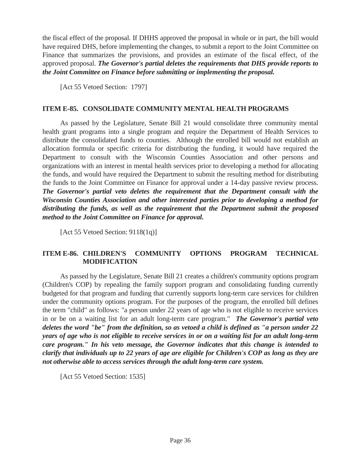the fiscal effect of the proposal. If DHHS approved the proposal in whole or in part, the bill would have required DHS, before implementing the changes, to submit a report to the Joint Committee on Finance that summarizes the provisions, and provides an estimate of the fiscal effect, of the approved proposal. *The Governor's partial deletes the requirements that DHS provide reports to the Joint Committee on Finance before submitting or implementing the proposal.* 

[Act 55 Vetoed Section: 1797]

#### **ITEM E-85. CONSOLIDATE COMMUNITY MENTAL HEALTH PROGRAMS**

 As passed by the Legislature, Senate Bill 21 would consolidate three community mental health grant programs into a single program and require the Department of Health Services to distribute the consolidated funds to counties. Although the enrolled bill would not establish an allocation formula or specific criteria for distributing the funding, it would have required the Department to consult with the Wisconsin Counties Association and other persons and organizations with an interest in mental health services prior to developing a method for allocating the funds, and would have required the Department to submit the resulting method for distributing the funds to the Joint Committee on Finance for approval under a 14-day passive review process. *The Governor's partial veto deletes the requirement that the Department consult with the Wisconsin Counties Association and other interested parties prior to developing a method for distributing the funds, as well as the requirement that the Department submit the proposed method to the Joint Committee on Finance for approval.* 

[Act 55 Vetoed Section: 9118(1q)]

## **ITEM E-86. CHILDREN'S COMMUNITY OPTIONS PROGRAM TECHNICAL MODIFICATION**

 As passed by the Legislature, Senate Bill 21 creates a children's community options program (Children's COP) by repealing the family support program and consolidating funding currently budgeted for that program and funding that currently supports long-term care services for children under the community options program. For the purposes of the program, the enrolled bill defines the term "child" as follows: "a person under 22 years of age who is not eligible to receive services in or be on a waiting list for an adult long-term care program." *The Governor's partial veto deletes the word "be" from the definition, so as vetoed a child is defined as "a person under 22 years of age who is not eligible to receive services in or on a waiting list for an adult long-term care program." In his veto message, the Governor indicates that this change is intended to clarify that individuals up to 22 years of age are eligible for Children's COP as long as they are not otherwise able to access services through the adult long-term care system.* 

[Act 55 Vetoed Section: 1535]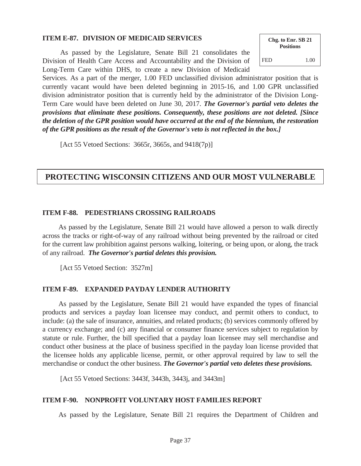#### **ITEM E-87. DIVISION OF MEDICAID SERVICES**

 As passed by the Legislature, Senate Bill 21 consolidates the Division of Health Care Access and Accountability and the Division of Long-Term Care within DHS, to create a new Division of Medicaid



Services. As a part of the merger, 1.00 FED unclassified division administrator position that is currently vacant would have been deleted beginning in 2015-16, and 1.00 GPR unclassified division administrator position that is currently held by the administrator of the Division Long-Term Care would have been deleted on June 30, 2017. *The Governor's partial veto deletes the provisions that eliminate these positions. Consequently, these positions are not deleted. [Since the deletion of the GPR position would have occurred at the end of the biennium, the restoration of the GPR positions as the result of the Governor's veto is not reflected in the box.]* 

[Act 55 Vetoed Sections: 3665r, 3665s, and 9418(7p)]

## **PROTECTING WISCONSIN CITIZENS AND OUR MOST VULNERABLE**

#### **ITEM F-88. PEDESTRIANS CROSSING RAILROADS**

 As passed by the Legislature, Senate Bill 21 would have allowed a person to walk directly across the tracks or right-of-way of any railroad without being prevented by the railroad or cited for the current law prohibition against persons walking, loitering, or being upon, or along, the track of any railroad. *The Governor's partial deletes this provision.* 

[Act 55 Vetoed Section: 3527m]

#### **ITEM F-89. EXPANDED PAYDAY LENDER AUTHORITY**

As passed by the Legislature, Senate Bill 21 would have expanded the types of financial products and services a payday loan licensee may conduct, and permit others to conduct, to include: (a) the sale of insurance, annuities, and related products; (b) services commonly offered by a currency exchange; and (c) any financial or consumer finance services subject to regulation by statute or rule. Further, the bill specified that a payday loan licensee may sell merchandise and conduct other business at the place of business specified in the payday loan license provided that the licensee holds any applicable license, permit, or other approval required by law to sell the merchandise or conduct the other business. *The Governor's partial veto deletes these provisions.* 

[Act 55 Vetoed Sections: 3443f, 3443h, 3443j, and 3443m]

#### **ITEM F-90. NONPROFIT VOLUNTARY HOST FAMILIES REPORT**

As passed by the Legislature, Senate Bill 21 requires the Department of Children and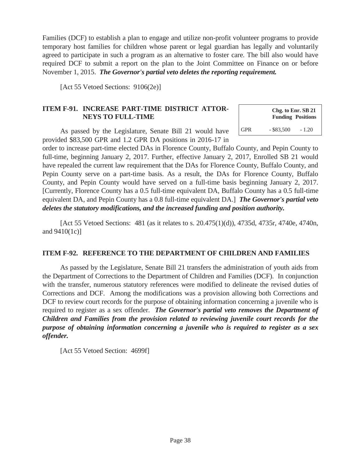Families (DCF) to establish a plan to engage and utilize non-profit volunteer programs to provide temporary host families for children whose parent or legal guardian has legally and voluntarily agreed to participate in such a program as an alternative to foster care. The bill also would have required DCF to submit a report on the plan to the Joint Committee on Finance on or before November 1, 2015. *The Governor's partial veto deletes the reporting requirement.* 

> **Chg. to Enr. SB 21 Funding Positions**

GPR  $-$  \$83,500  $-1.20$ 

[Act 55 Vetoed Sections: 9106(2e)]

## **ITEM F-91. INCREASE PART-TIME DISTRICT ATTOR-NEYS TO FULL-TIME**

 As passed by the Legislature, Senate Bill 21 would have provided \$83,500 GPR and 1.2 GPR DA positions in 2016-17 in

order to increase part-time elected DAs in Florence County, Buffalo County, and Pepin County to full-time, beginning January 2, 2017. Further, effective January 2, 2017, Enrolled SB 21 would have repealed the current law requirement that the DAs for Florence County, Buffalo County, and Pepin County serve on a part-time basis. As a result, the DAs for Florence County, Buffalo County, and Pepin County would have served on a full-time basis beginning January 2, 2017. [Currently, Florence County has a 0.5 full-time equivalent DA, Buffalo County has a 0.5 full-time equivalent DA, and Pepin County has a 0.8 full-time equivalent DA.] *The Governor's partial veto deletes the statutory modifications, and the increased funding and position authority.* 

 [Act 55 Vetoed Sections: 481 (as it relates to s. 20.475(1)(d)), 4735d, 4735r, 4740e, 4740n, and 9410(1c)]

#### **ITEM F-92. REFERENCE TO THE DEPARTMENT OF CHILDREN AND FAMILIES**

 As passed by the Legislature, Senate Bill 21 transfers the administration of youth aids from the Department of Corrections to the Department of Children and Families (DCF). In conjunction with the transfer, numerous statutory references were modified to delineate the revised duties of Corrections and DCF. Among the modifications was a provision allowing both Corrections and DCF to review court records for the purpose of obtaining information concerning a juvenile who is required to register as a sex offender. *The Governor's partial veto removes the Department of Children and Families from the provision related to reviewing juvenile court records for the purpose of obtaining information concerning a juvenile who is required to register as a sex offender.* 

[Act 55 Vetoed Section: 4699f]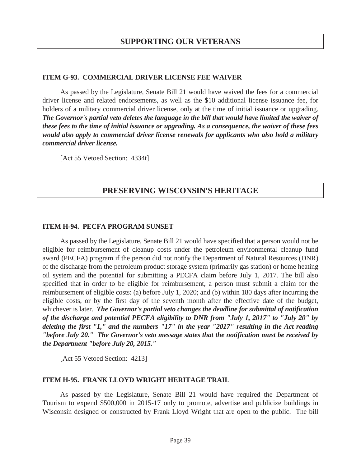#### **ITEM G-93. COMMERCIAL DRIVER LICENSE FEE WAIVER**

 As passed by the Legislature, Senate Bill 21 would have waived the fees for a commercial driver license and related endorsements, as well as the \$10 additional license issuance fee, for holders of a military commercial driver license, only at the time of initial issuance or upgrading. *The Governor's partial veto deletes the language in the bill that would have limited the waiver of these fees to the time of initial issuance or upgrading. As a consequence, the waiver of these fees would also apply to commercial driver license renewals for applicants who also hold a military commercial driver license.* 

[Act 55 Vetoed Section: 4334t]

## **PRESERVING WISCONSIN'S HERITAGE**

#### **ITEM H-94. PECFA PROGRAM SUNSET**

 As passed by the Legislature, Senate Bill 21 would have specified that a person would not be eligible for reimbursement of cleanup costs under the petroleum environmental cleanup fund award (PECFA) program if the person did not notify the Department of Natural Resources (DNR) of the discharge from the petroleum product storage system (primarily gas station) or home heating oil system and the potential for submitting a PECFA claim before July 1, 2017. The bill also specified that in order to be eligible for reimbursement, a person must submit a claim for the reimbursement of eligible costs: (a) before July 1, 2020; and (b) within 180 days after incurring the eligible costs, or by the first day of the seventh month after the effective date of the budget, whichever is later. *The Governor's partial veto changes the deadline for submittal of notification of the discharge and potential PECFA eligibility to DNR from "July 1, 2017" to "July 20" by deleting the first "1," and the numbers "17" in the year "2017" resulting in the Act reading "before July 20." The Governor's veto message states that the notification must be received by the Department "before July 20, 2015."* 

[Act 55 Vetoed Section: 4213]

#### **ITEM H-95. FRANK LLOYD WRIGHT HERITAGE TRAIL**

 As passed by the Legislature, Senate Bill 21 would have required the Department of Tourism to expend \$500,000 in 2015-17 only to promote, advertise and publicize buildings in Wisconsin designed or constructed by Frank Lloyd Wright that are open to the public. The bill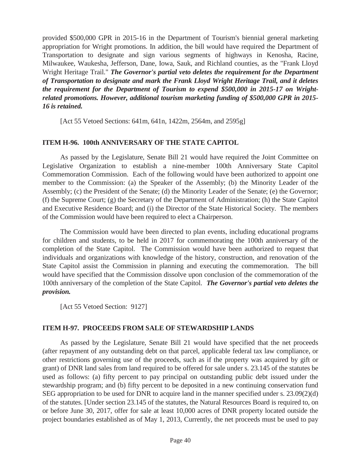provided \$500,000 GPR in 2015-16 in the Department of Tourism's biennial general marketing appropriation for Wright promotions. In addition, the bill would have required the Department of Transportation to designate and sign various segments of highways in Kenosha, Racine, Milwaukee, Waukesha, Jefferson, Dane, Iowa, Sauk, and Richland counties, as the "Frank Lloyd Wright Heritage Trail." *The Governor's partial veto deletes the requirement for the Department of Transportation to designate and mark the Frank Lloyd Wright Heritage Trail, and it deletes the requirement for the Department of Tourism to expend \$500,000 in 2015-17 on Wrightrelated promotions. However, additional tourism marketing funding of \$500,000 GPR in 2015- 16 is retained.* 

[Act 55 Vetoed Sections: 641m, 641n, 1422m, 2564m, and 2595g]

#### **ITEM H-96. 100th ANNIVERSARY OF THE STATE CAPITOL**

 As passed by the Legislature, Senate Bill 21 would have required the Joint Committee on Legislative Organization to establish a nine-member 100th Anniversary State Capitol Commemoration Commission. Each of the following would have been authorized to appoint one member to the Commission: (a) the Speaker of the Assembly; (b) the Minority Leader of the Assembly; (c) the President of the Senate; (d) the Minority Leader of the Senate; (e) the Governor; (f) the Supreme Court; (g) the Secretary of the Department of Administration; (h) the State Capitol and Executive Residence Board; and (i) the Director of the State Historical Society. The members of the Commission would have been required to elect a Chairperson.

 The Commission would have been directed to plan events, including educational programs for children and students, to be held in 2017 for commemorating the 100th anniversary of the completion of the State Capitol. The Commission would have been authorized to request that individuals and organizations with knowledge of the history, construction, and renovation of the State Capitol assist the Commission in planning and executing the commemoration. The bill would have specified that the Commission dissolve upon conclusion of the commemoration of the 100th anniversary of the completion of the State Capitol. *The Governor's partial veto deletes the provision.* 

[Act 55 Vetoed Section: 9127]

#### **ITEM H-97. PROCEEDS FROM SALE OF STEWARDSHIP LANDS**

 As passed by the Legislature, Senate Bill 21 would have specified that the net proceeds (after repayment of any outstanding debt on that parcel, applicable federal tax law compliance, or other restrictions governing use of the proceeds, such as if the property was acquired by gift or grant) of DNR land sales from land required to be offered for sale under s. 23.145 of the statutes be used as follows: (a) fifty percent to pay principal on outstanding public debt issued under the stewardship program; and (b) fifty percent to be deposited in a new continuing conservation fund SEG appropriation to be used for DNR to acquire land in the manner specified under s. 23.09(2)(d) of the statutes. [Under section 23.145 of the statutes, the Natural Resources Board is required to, on or before June 30, 2017, offer for sale at least 10,000 acres of DNR property located outside the project boundaries established as of May 1, 2013, Currently, the net proceeds must be used to pay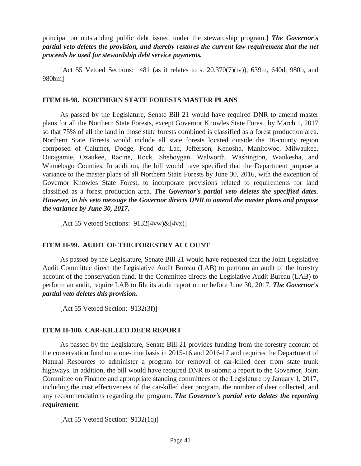principal on outstanding public debt issued under the stewardship program.] *The Governor's partial veto deletes the provision, and thereby restores the current law requirement that the net proceeds be used for stewardship debt service payments.*

[Act 55 Vetoed Sections: 481 (as it relates to s.  $20.370(7)(iv)$ ), 639m, 640d, 980b, and 980bm]

#### **ITEM H-98. NORTHERN STATE FORESTS MASTER PLANS**

 As passed by the Legislature, Senate Bill 21 would have required DNR to amend master plans for all the Northern State Forests, except Governor Knowles State Forest, by March 1, 2017 so that 75% of all the land in those state forests combined is classified as a forest production area. Northern State Forests would include all state forests located outside the 16-county region composed of Calumet, Dodge, Fond du Lac, Jefferson, Kenosha, Manitowoc, Milwaukee, Outagamie, Ozaukee, Racine, Rock, Sheboygan, Walworth, Washington, Waukesha, and Winnebago Counties. In addition, the bill would have specified that the Department propose a variance to the master plans of all Northern State Forests by June 30, 2016, with the exception of Governor Knowles State Forest, to incorporate provisions related to requirements for land classified as a forest production area. *The Governor's partial veto deletes the specified dates. However, in his veto message the Governor directs DNR to amend the master plans and propose the variance by June 30, 2017.* 

[Act 55 Vetoed Sections:  $9132(4vw)\&(4vx)$ ]

#### **ITEM H-99. AUDIT OF THE FORESTRY ACCOUNT**

 As passed by the Legislature, Senate Bill 21 would have requested that the Joint Legislative Audit Committee direct the Legislative Audit Bureau (LAB) to perform an audit of the forestry account of the conservation fund. If the Committee directs the Legislative Audit Bureau (LAB) to perform an audit, require LAB to file its audit report on or before June 30, 2017. *The Governor's partial veto deletes this provision.*

[Act 55 Vetoed Section: 9132(3f)]

#### **ITEM H-100. CAR-KILLED DEER REPORT**

 As passed by the Legislature, Senate Bill 21 provides funding from the forestry account of the conservation fund on a one-time basis in 2015-16 and 2016-17 and requires the Department of Natural Resources to administer a program for removal of car-killed deer from state trunk highways. In addition, the bill would have required DNR to submit a report to the Governor, Joint Committee on Finance and appropriate standing committees of the Legislature by January 1, 2017, including the cost effectiveness of the car-killed deer program, the number of deer collected, and any recommendations regarding the program. *The Governor's partial veto deletes the reporting requirement.*

[Act 55 Vetoed Section: 9132(1q)]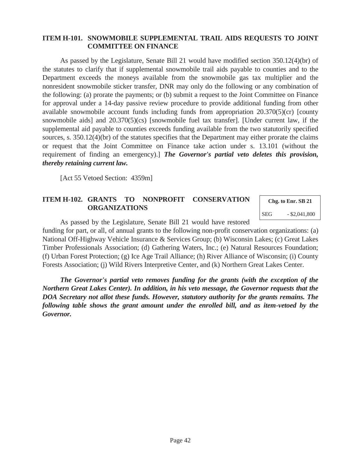#### **ITEM H-101. SNOWMOBILE SUPPLEMENTAL TRAIL AIDS REQUESTS TO JOINT COMMITTEE ON FINANCE**

 As passed by the Legislature, Senate Bill 21 would have modified section 350.12(4)(br) of the statutes to clarify that if supplemental snowmobile trail aids payable to counties and to the Department exceeds the moneys available from the snowmobile gas tax multiplier and the nonresident snowmobile sticker transfer, DNR may only do the following or any combination of the following: (a) prorate the payments; or (b) submit a request to the Joint Committee on Finance for approval under a 14-day passive review procedure to provide additional funding from other available snowmobile account funds including funds from appropriation 20.370(5)(cr) [county snowmobile aids] and 20.370(5)(cs) [snowmobile fuel tax transfer]. [Under current law, if the supplemental aid payable to counties exceeds funding available from the two statutorily specified sources, s. 350.12(4)(br) of the statutes specifies that the Department may either prorate the claims or request that the Joint Committee on Finance take action under s. 13.101 (without the requirement of finding an emergency).] *The Governor's partial veto deletes this provision, thereby retaining current law.*

[Act 55 Vetoed Section: 4359m]

#### **ITEM H-102. GRANTS TO NONPROFIT CONSERVATION ORGANIZATIONS**

**Chg. to Enr. SB 21**  SEG - \$2,041,800

As passed by the Legislature, Senate Bill 21 would have restored

funding for part, or all, of annual grants to the following non-profit conservation organizations: (a) National Off-Highway Vehicle Insurance & Services Group; (b) Wisconsin Lakes; (c) Great Lakes Timber Professionals Association; (d) Gathering Waters, Inc.; (e) Natural Resources Foundation; (f) Urban Forest Protection; (g) Ice Age Trail Alliance; (h) River Alliance of Wisconsin; (i) County Forests Association; (j) Wild Rivers Interpretive Center, and (k) Northern Great Lakes Center.

*The Governor's partial veto removes funding for the grants (with the exception of the Northern Great Lakes Center). In addition, in his veto message, the Governor requests that the DOA Secretary not allot these funds. However, statutory authority for the grants remains. The following table shows the grant amount under the enrolled bill, and as item-vetoed by the Governor.*